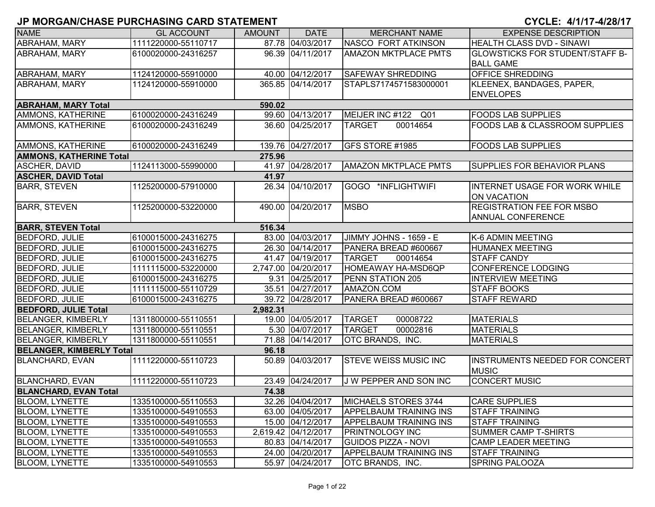|                                 | י יוושווש וואס שיוואס שאוויס וואס וואס שאוויס וואס וואס וואס ווא |               |                     |                               |                                                            |
|---------------------------------|------------------------------------------------------------------|---------------|---------------------|-------------------------------|------------------------------------------------------------|
| <b>NAME</b>                     | <b>GL ACCOUNT</b>                                                | <b>AMOUNT</b> | <b>DATE</b>         | <b>MERCHANT NAME</b>          | <b>EXPENSE DESCRIPTION</b>                                 |
| ABRAHAM, MARY                   | 1111220000-55110717                                              |               | 87.78 04/03/2017    | NASCO FORT ATKINSON           | HEALTH CLASS DVD - SINAWI                                  |
| ABRAHAM, MARY                   | 6100020000-24316257                                              |               | 96.39 04/11/2017    | <b>AMAZON MKTPLACE PMTS</b>   | <b>GLOWSTICKS FOR STUDENT/STAFF B-</b><br><b>BALL GAME</b> |
| <b>ABRAHAM, MARY</b>            | 1124120000-55910000                                              |               | 40.00 04/12/2017    | <b>SAFEWAY SHREDDING</b>      | <b>OFFICE SHREDDING</b>                                    |
| <b>ABRAHAM, MARY</b>            | 1124120000-55910000                                              |               | 365.85 04/14/2017   | STAPLS7174571583000001        | KLEENEX, BANDAGES, PAPER,<br><b>ENVELOPES</b>              |
| <b>ABRAHAM, MARY Total</b>      |                                                                  | 590.02        |                     |                               |                                                            |
| AMMONS, KATHERINE               | 6100020000-24316249                                              |               | 99.60 04/13/2017    | MEIJER INC #122 Q01           | <b>FOODS LAB SUPPLIES</b>                                  |
| AMMONS, KATHERINE               | 6100020000-24316249                                              |               | 36.60 04/25/2017    | 00014654<br><b>TARGET</b>     | <b>FOODS LAB &amp; CLASSROOM SUPPLIES</b>                  |
| AMMONS, KATHERINE               | 6100020000-24316249                                              |               | 139.76 04/27/2017   | GFS STORE #1985               | <b>FOODS LAB SUPPLIES</b>                                  |
| <b>AMMONS, KATHERINE Total</b>  |                                                                  | 275.96        |                     |                               |                                                            |
| <b>ASCHER, DAVID</b>            | 1124113000-55990000                                              |               | 41.97 04/28/2017    | <b>AMAZON MKTPLACE PMTS</b>   | SUPPLIES FOR BEHAVIOR PLANS                                |
| <b>ASCHER, DAVID Total</b>      |                                                                  | 41.97         |                     |                               |                                                            |
| <b>BARR, STEVEN</b>             | 1125200000-57910000                                              |               | 26.34 04/10/2017    | GOGO *INFLIGHTWIFI            | INTERNET USAGE FOR WORK WHILE<br><b>ON VACATION</b>        |
| <b>BARR, STEVEN</b>             | 1125200000-53220000                                              |               | 490.00 04/20/2017   | <b>MSBO</b>                   | <b>REGISTRATION FEE FOR MSBO</b><br>ANNUAL CONFERENCE      |
| <b>BARR, STEVEN Total</b>       |                                                                  | 516.34        |                     |                               |                                                            |
| <b>BEDFORD, JULIE</b>           | 6100015000-24316275                                              |               | 83.00 04/03/2017    | JIMMY JOHNS - 1659 - E        | K-6 ADMIN MEETING                                          |
| <b>BEDFORD, JULIE</b>           | 6100015000-24316275                                              |               | 26.30 04/14/2017    | PANERA BREAD #600667          | <b>HUMANEX MEETING</b>                                     |
| <b>BEDFORD, JULIE</b>           | 6100015000-24316275                                              |               | 41.47 04/19/2017    | <b>TARGET</b><br>00014654     | <b>STAFF CANDY</b>                                         |
| <b>BEDFORD, JULIE</b>           | 1111115000-53220000                                              |               | 2,747.00 04/20/2017 | <b>HOMEAWAY HA-MSD6QP</b>     | <b>CONFERENCE LODGING</b>                                  |
| <b>BEDFORD, JULIE</b>           | 6100015000-24316275                                              |               | 9.31 04/25/2017     | PENN STATION 205              | <b>INTERVIEW MEETING</b>                                   |
| <b>BEDFORD, JULIE</b>           | 1111115000-55110729                                              |               | 35.51 04/27/2017    | AMAZON.COM                    | <b>STAFF BOOKS</b>                                         |
| <b>BEDFORD, JULIE</b>           | 6100015000-24316275                                              |               | 39.72 04/28/2017    | PANERA BREAD #600667          | <b>STAFF REWARD</b>                                        |
| <b>BEDFORD, JULIE Total</b>     |                                                                  | 2,982.31      |                     |                               |                                                            |
| <b>BELANGER, KIMBERLY</b>       | 1311800000-55110551                                              |               | 19.00 04/05/2017    | <b>TARGET</b><br>00008722     | <b>MATERIALS</b>                                           |
| <b>BELANGER, KIMBERLY</b>       | 1311800000-55110551                                              |               | 5.30 04/07/2017     | <b>TARGET</b><br>00002816     | <b>MATERIALS</b>                                           |
| <b>BELANGER, KIMBERLY</b>       | 1311800000-55110551                                              |               | 71.88 04/14/2017    | OTC BRANDS, INC.              | <b>MATERIALS</b>                                           |
| <b>BELANGER, KIMBERLY Total</b> |                                                                  | 96.18         |                     |                               |                                                            |
| <b>BLANCHARD, EVAN</b>          | 1111220000-55110723                                              |               | 50.89 04/03/2017    | <b>STEVE WEISS MUSIC INC</b>  | <b>INSTRUMENTS NEEDED FOR CONCERT</b><br><b>MUSIC</b>      |
| <b>BLANCHARD, EVAN</b>          | 1111220000-55110723                                              |               | 23.49 04/24/2017    | J W PEPPER AND SON INC        | <b>CONCERT MUSIC</b>                                       |
| <b>BLANCHARD, EVAN Total</b>    |                                                                  | 74.38         |                     |                               |                                                            |
| <b>BLOOM, LYNETTE</b>           | 1335100000-55110553                                              |               | 32.26 04/04/2017    | <b>MICHAELS STORES 3744</b>   | <b>CARE SUPPLIES</b>                                       |
| <b>BLOOM, LYNETTE</b>           | 1335100000-54910553                                              |               | 63.00 04/05/2017    | <b>APPELBAUM TRAINING INS</b> | <b>STAFF TRAINING</b>                                      |
| <b>BLOOM, LYNETTE</b>           | 1335100000-54910553                                              |               | 15.00 04/12/2017    | <b>APPELBAUM TRAINING INS</b> | <b>STAFF TRAINING</b>                                      |
| <b>BLOOM, LYNETTE</b>           | 1335100000-54910553                                              |               | 2,619.42 04/12/2017 | <b>PRINTNOLOGY INC</b>        | SUMMER CAMP T-SHIRTS                                       |
| <b>BLOOM, LYNETTE</b>           | 1335100000-54910553                                              |               | 80.83 04/14/2017    | <b>GUIDOS PIZZA - NOVI</b>    | <b>CAMP LEADER MEETING</b>                                 |
| <b>BLOOM, LYNETTE</b>           | 1335100000-54910553                                              |               | 24.00 04/20/2017    | <b>APPELBAUM TRAINING INS</b> | <b>STAFF TRAINING</b>                                      |
| <b>BLOOM, LYNETTE</b>           | 1335100000-54910553                                              |               | 55.97 04/24/2017    | <b>OTC BRANDS, INC.</b>       | <b>SPRING PALOOZA</b>                                      |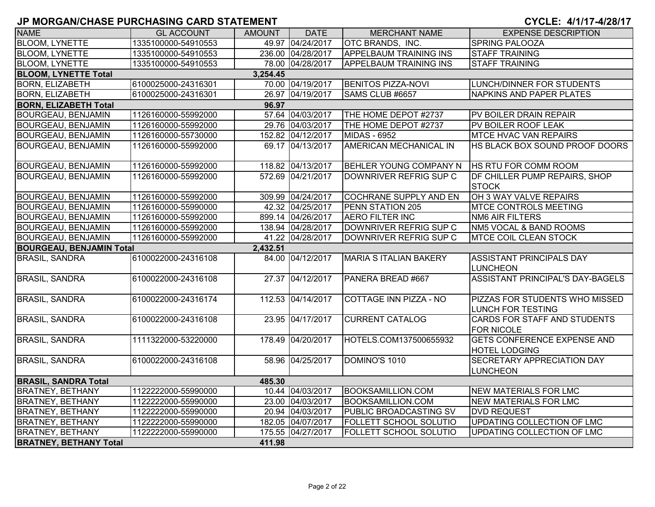# **JP MORGAN/CHASE PURCHASING CARD STATEMENT**  $\blacksquare$

| CYCLE: 4/1/17-4/28/17 |  |  |
|-----------------------|--|--|
|-----------------------|--|--|

| <b>NAME</b>                             | <b>GL ACCOUNT</b>   | <b>AMOUNT</b> | <b>DATE</b>       | <b>MERCHANT NAME</b>          | <b>EXPENSE DESCRIPTION</b>                                 |  |  |  |
|-----------------------------------------|---------------------|---------------|-------------------|-------------------------------|------------------------------------------------------------|--|--|--|
| <b>BLOOM, LYNETTE</b>                   | 1335100000-54910553 |               | 49.97 04/24/2017  | OTC BRANDS, INC.              | SPRING PALOOZA                                             |  |  |  |
| <b>BLOOM, LYNETTE</b>                   | 1335100000-54910553 |               | 236.00 04/28/2017 | <b>APPELBAUM TRAINING INS</b> | <b>STAFF TRAINING</b>                                      |  |  |  |
| <b>BLOOM, LYNETTE</b>                   | 1335100000-54910553 |               | 78.00 04/28/2017  | <b>APPELBAUM TRAINING INS</b> | <b>STAFF TRAINING</b>                                      |  |  |  |
| <b>BLOOM, LYNETTE Total</b><br>3,254.45 |                     |               |                   |                               |                                                            |  |  |  |
| <b>BORN, ELIZABETH</b>                  | 6100025000-24316301 |               | 70.00 04/19/2017  | <b>BENITOS PIZZA-NOVI</b>     | LUNCH/DINNER FOR STUDENTS                                  |  |  |  |
| <b>BORN, ELIZABETH</b>                  | 6100025000-24316301 |               | 26.97 04/19/2017  | SAMS CLUB #6657               | NAPKINS AND PAPER PLATES                                   |  |  |  |
| 96.97<br><b>BORN, ELIZABETH Total</b>   |                     |               |                   |                               |                                                            |  |  |  |
| <b>BOURGEAU, BENJAMIN</b>               | 1126160000-55992000 |               | 57.64 04/03/2017  | THE HOME DEPOT #2737          | PV BOILER DRAIN REPAIR                                     |  |  |  |
| <b>BOURGEAU, BENJAMIN</b>               | 1126160000-55992000 |               | 29.76 04/03/2017  | THE HOME DEPOT #2737          | PV BOILER ROOF LEAK                                        |  |  |  |
| <b>BOURGEAU, BENJAMIN</b>               | 1126160000-55730000 |               | 152.82 04/12/2017 | MIDAS - 6952                  | <b>MTCE HVAC VAN REPAIRS</b>                               |  |  |  |
| <b>BOURGEAU, BENJAMIN</b>               | 1126160000-55992000 |               | 69.17 04/13/2017  | AMERICAN MECHANICAL IN        | HS BLACK BOX SOUND PROOF DOORS                             |  |  |  |
| <b>BOURGEAU, BENJAMIN</b>               | 1126160000-55992000 |               | 118.82 04/13/2017 | <b>BEHLER YOUNG COMPANY N</b> | HS RTU FOR COMM ROOM                                       |  |  |  |
| <b>BOURGEAU, BENJAMIN</b>               | 1126160000-55992000 |               | 572.69 04/21/2017 | DOWNRIVER REFRIG SUP C        | DF CHILLER PUMP REPAIRS, SHOP<br><b>STOCK</b>              |  |  |  |
| <b>BOURGEAU, BENJAMIN</b>               | 1126160000-55992000 |               | 309.99 04/24/2017 | <b>COCHRANE SUPPLY AND EN</b> | OH 3 WAY VALVE REPAIRS                                     |  |  |  |
| <b>BOURGEAU, BENJAMIN</b>               | 1126160000-55990000 |               | 42.32 04/25/2017  | PENN STATION 205              | MTCE CONTROLS MEETING                                      |  |  |  |
| <b>BOURGEAU, BENJAMIN</b>               | 1126160000-55992000 |               | 899.14 04/26/2017 | <b>AERO FILTER INC</b>        | <b>NM6 AIR FILTERS</b>                                     |  |  |  |
| <b>BOURGEAU, BENJAMIN</b>               | 1126160000-55992000 |               | 138.94 04/28/2017 | DOWNRIVER REFRIG SUP C        | NM5 VOCAL & BAND ROOMS                                     |  |  |  |
| <b>BOURGEAU, BENJAMIN</b>               | 1126160000-55992000 |               | 41.22 04/28/2017  | DOWNRIVER REFRIG SUP C        | <b>MTCE COIL CLEAN STOCK</b>                               |  |  |  |
| <b>BOURGEAU, BENJAMIN Total</b>         |                     | 2,432.51      |                   |                               |                                                            |  |  |  |
| <b>BRASIL, SANDRA</b>                   | 6100022000-24316108 |               | 84.00 04/12/2017  | <b>MARIA S ITALIAN BAKERY</b> | <b>ASSISTANT PRINCIPALS DAY</b><br><b>LUNCHEON</b>         |  |  |  |
| <b>BRASIL, SANDRA</b>                   | 6100022000-24316108 |               | 27.37 04/12/2017  | PANERA BREAD #667             | <b>ASSISTANT PRINCIPAL'S DAY-BAGELS</b>                    |  |  |  |
| <b>BRASIL, SANDRA</b>                   | 6100022000-24316174 |               | 112.53 04/14/2017 | COTTAGE INN PIZZA - NO        | PIZZAS FOR STUDENTS WHO MISSED<br><b>LUNCH FOR TESTING</b> |  |  |  |
| <b>BRASIL, SANDRA</b>                   | 6100022000-24316108 |               | 23.95 04/17/2017  | <b>CURRENT CATALOG</b>        | <b>CARDS FOR STAFF AND STUDENTS</b><br><b>FOR NICOLE</b>   |  |  |  |
| <b>BRASIL, SANDRA</b>                   | 1111322000-53220000 |               | 178.49 04/20/2017 | HOTELS.COM137500655932        | <b>GETS CONFERENCE EXPENSE AND</b><br><b>HOTEL LODGING</b> |  |  |  |
| <b>BRASIL, SANDRA</b>                   | 6100022000-24316108 |               | 58.96 04/25/2017  | DOMINO'S 1010                 | SECRETARY APPRECIATION DAY<br><b>LUNCHEON</b>              |  |  |  |
| <b>BRASIL, SANDRA Total</b>             |                     | 485.30        |                   |                               |                                                            |  |  |  |
| <b>BRATNEY, BETHANY</b>                 | 1122222000-55990000 |               | 10.44 04/03/2017  | <b>BOOKSAMILLION.COM</b>      | NEW MATERIALS FOR LMC                                      |  |  |  |
| <b>BRATNEY, BETHANY</b>                 | 1122222000-55990000 |               | 23.00 04/03/2017  | <b>BOOKSAMILLION.COM</b>      | <b>NEW MATERIALS FOR LMC</b>                               |  |  |  |
| <b>BRATNEY, BETHANY</b>                 | 1122222000-55990000 |               | 20.94 04/03/2017  | PUBLIC BROADCASTING SV        | <b>DVD REQUEST</b>                                         |  |  |  |
| <b>BRATNEY, BETHANY</b>                 | 1122222000-55990000 |               | 182.05 04/07/2017 | FOLLETT SCHOOL SOLUTIO        | UPDATING COLLECTION OF LMC                                 |  |  |  |
| <b>BRATNEY, BETHANY</b>                 | 1122222000-55990000 |               | 175.55 04/27/2017 | <b>FOLLETT SCHOOL SOLUTIO</b> | UPDATING COLLECTION OF LMC                                 |  |  |  |
| <b>BRATNEY, BETHANY Total</b>           |                     | 411.98        |                   |                               |                                                            |  |  |  |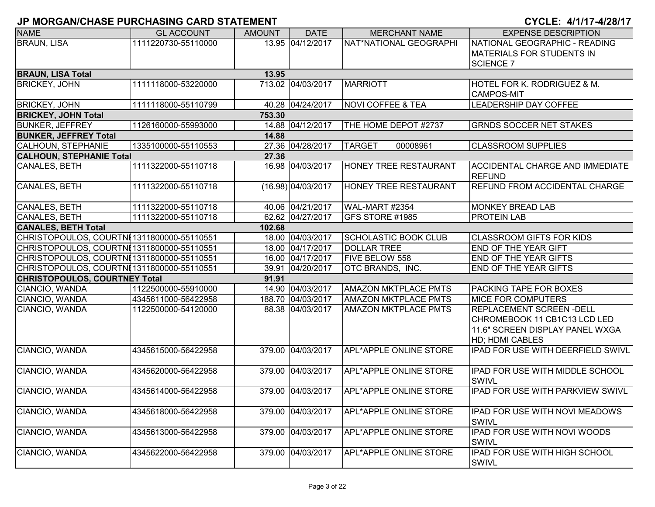| <b>NAME</b>                                | <b>GL ACCOUNT</b>   | <b>AMOUNT</b> | <b>DATE</b>          | <b>MERCHANT NAME</b>          | <b>EXPENSE DESCRIPTION</b>                              |
|--------------------------------------------|---------------------|---------------|----------------------|-------------------------------|---------------------------------------------------------|
| <b>BRAUN, LISA</b>                         | 1111220730-55110000 |               | 13.95 04/12/2017     | NAT*NATIONAL GEOGRAPHI        | NATIONAL GEOGRAPHIC - READING                           |
|                                            |                     |               |                      |                               | <b>MATERIALS FOR STUDENTS IN</b>                        |
|                                            |                     |               |                      |                               | <b>SCIENCE 7</b>                                        |
| <b>BRAUN, LISA Total</b>                   |                     | 13.95         |                      |                               |                                                         |
| <b>BRICKEY, JOHN</b>                       | 1111118000-53220000 |               | 713.02 04/03/2017    | <b>MARRIOTT</b>               | HOTEL FOR K. RODRIGUEZ & M.                             |
|                                            |                     |               |                      |                               | <b>CAMPOS-MIT</b>                                       |
| <b>BRICKEY, JOHN</b>                       | 1111118000-55110799 |               | 40.28 04/24/2017     | <b>NOVI COFFEE &amp; TEA</b>  | <b>LEADERSHIP DAY COFFEE</b>                            |
| <b>BRICKEY, JOHN Total</b>                 |                     | 753.30        |                      |                               |                                                         |
| <b>BUNKER, JEFFREY</b>                     | 1126160000-55993000 |               | 14.88 04/12/2017     | THE HOME DEPOT #2737          | <b>GRNDS SOCCER NET STAKES</b>                          |
| <b>BUNKER, JEFFREY Total</b>               |                     | 14.88         |                      |                               |                                                         |
| CALHOUN, STEPHANIE                         | 1335100000-55110553 |               | 27.36 04/28/2017     | <b>TARGET</b><br>00008961     | <b>CLASSROOM SUPPLIES</b>                               |
| <b>CALHOUN, STEPHANIE Total</b>            |                     | 27.36         |                      |                               |                                                         |
| CANALES, BETH                              | 1111322000-55110718 |               | 16.98 04/03/2017     | HONEY TREE RESTAURANT         | <b>ACCIDENTAL CHARGE AND IMMEDIATE</b><br><b>REFUND</b> |
| CANALES, BETH                              | 1111322000-55110718 |               | $(16.98)$ 04/03/2017 | <b>HONEY TREE RESTAURANT</b>  | <b>REFUND FROM ACCIDENTAL CHARGE</b>                    |
| CANALES, BETH                              | 1111322000-55110718 |               | 40.06 04/21/2017     | WAL-MART #2354                | <b>MONKEY BREAD LAB</b>                                 |
| CANALES, BETH                              | 1111322000-55110718 |               | 62.62 04/27/2017     | GFS STORE #1985               | <b>PROTEIN LAB</b>                                      |
| <b>CANALES, BETH Total</b>                 |                     | 102.68        |                      |                               |                                                         |
| CHRISTOPOULOS, COURTNI 1311800000-55110551 |                     |               | 18.00 04/03/2017     | <b>SCHOLASTIC BOOK CLUB</b>   | <b>CLASSROOM GIFTS FOR KIDS</b>                         |
| CHRISTOPOULOS, COURTNI1311800000-55110551  |                     |               | 18.00 04/17/2017     | <b>DOLLAR TREE</b>            | END OF THE YEAR GIFT                                    |
| CHRISTOPOULOS, COURTNI 1311800000-55110551 |                     |               | 16.00 04/17/2017     | <b>FIVE BELOW 558</b>         | <b>END OF THE YEAR GIFTS</b>                            |
| CHRISTOPOULOS, COURTNI 1311800000-55110551 |                     |               | 39.91 04/20/2017     | OTC BRANDS, INC.              | <b>END OF THE YEAR GIFTS</b>                            |
| <b>CHRISTOPOULOS, COURTNEY Total</b>       |                     | 91.91         |                      |                               |                                                         |
| CIANCIO, WANDA                             | 1122500000-55910000 |               | 14.90 04/03/2017     | <b>AMAZON MKTPLACE PMTS</b>   | PACKING TAPE FOR BOXES                                  |
| CIANCIO, WANDA                             | 4345611000-56422958 |               | 188.70 04/03/2017    | <b>AMAZON MKTPLACE PMTS</b>   | <b>MICE FOR COMPUTERS</b>                               |
| CIANCIO, WANDA                             | 1122500000-54120000 |               | 88.38 04/03/2017     | <b>AMAZON MKTPLACE PMTS</b>   | REPLACEMENT SCREEN - DELL                               |
|                                            |                     |               |                      |                               | CHROMEBOOK 11 CB1C13 LCD LED                            |
|                                            |                     |               |                      |                               | 11.6" SCREEN DISPLAY PANEL WXGA                         |
|                                            |                     |               |                      |                               | <b>HD; HDMI CABLES</b>                                  |
| CIANCIO, WANDA                             | 4345615000-56422958 |               | 379.00 04/03/2017    | <b>APL*APPLE ONLINE STORE</b> | IPAD FOR USE WITH DEERFIELD SWIVL                       |
| CIANCIO, WANDA                             | 4345620000-56422958 |               | 379.00 04/03/2017    | APL*APPLE ONLINE STORE        | <b>IPAD FOR USE WITH MIDDLE SCHOOL</b>                  |
|                                            |                     |               |                      |                               | <b>SWIVL</b>                                            |
| CIANCIO, WANDA                             | 4345614000-56422958 |               | 379.00 04/03/2017    | APL*APPLE ONLINE STORE        | IPAD FOR USE WITH PARKVIEW SWIVL                        |
| CIANCIO, WANDA                             | 4345618000-56422958 |               | 379.00 04/03/2017    | <b>APL*APPLE ONLINE STORE</b> | IPAD FOR USE WITH NOVI MEADOWS<br>SWIVL                 |
| CIANCIO, WANDA                             | 4345613000-56422958 |               | 379.00 04/03/2017    | APL*APPLE ONLINE STORE        | IPAD FOR USE WITH NOVI WOODS<br><b>SWIVL</b>            |
| CIANCIO, WANDA                             | 4345622000-56422958 |               | 379.00 04/03/2017    | APL*APPLE ONLINE STORE        | IPAD FOR USE WITH HIGH SCHOOL<br><b>SWIVL</b>           |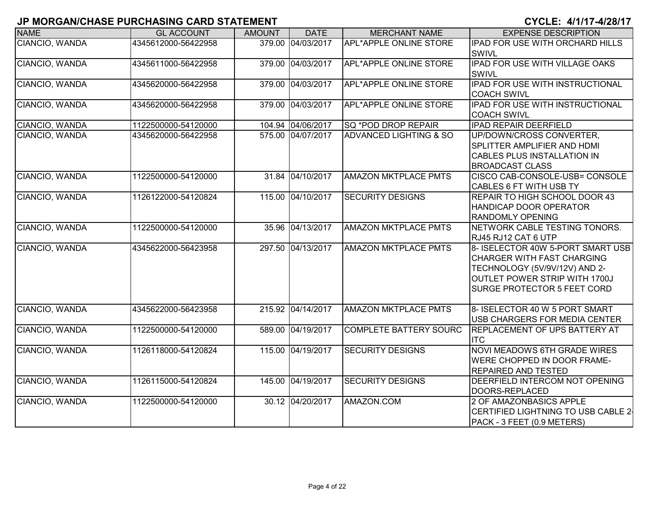| <b>NAME</b>    | <b>GL ACCOUNT</b>   | <b>AMOUNT</b> | <b>DATE</b>       | <b>MERCHANT NAME</b>          | <b>EXPENSE DESCRIPTION</b>                                                                                                                                                     |
|----------------|---------------------|---------------|-------------------|-------------------------------|--------------------------------------------------------------------------------------------------------------------------------------------------------------------------------|
| CIANCIO, WANDA | 4345612000-56422958 |               | 379.00 04/03/2017 | <b>APL*APPLE ONLINE STORE</b> | IPAD FOR USE WITH ORCHARD HILLS                                                                                                                                                |
|                |                     |               |                   |                               | <b>SWIVL</b>                                                                                                                                                                   |
| CIANCIO, WANDA | 4345611000-56422958 |               | 379.00 04/03/2017 | APL*APPLE ONLINE STORE        | <b>IPAD FOR USE WITH VILLAGE OAKS</b><br><b>SWIVL</b>                                                                                                                          |
| CIANCIO, WANDA | 4345620000-56422958 |               | 379.00 04/03/2017 | <b>APL*APPLE ONLINE STORE</b> | <b>IPAD FOR USE WITH INSTRUCTIONAL</b><br><b>COACH SWIVL</b>                                                                                                                   |
| CIANCIO, WANDA | 4345620000-56422958 |               | 379.00 04/03/2017 | APL*APPLE ONLINE STORE        | <b>IPAD FOR USE WITH INSTRUCTIONAL</b><br><b>COACH SWIVL</b>                                                                                                                   |
| CIANCIO, WANDA | 1122500000-54120000 |               | 104.94 04/06/2017 | SQ *POD DROP REPAIR           | <b>IPAD REPAIR DEERFIELD</b>                                                                                                                                                   |
| CIANCIO, WANDA | 4345620000-56422958 |               | 575.00 04/07/2017 | ADVANCED LIGHTING & SO        | UP/DOWN/CROSS CONVERTER,<br>SPLITTER AMPLIFIER AND HDMI<br>CABLES PLUS INSTALLATION IN<br><b>BROADCAST CLASS</b>                                                               |
| CIANCIO, WANDA | 1122500000-54120000 |               | 31.84 04/10/2017  | <b>AMAZON MKTPLACE PMTS</b>   | CISCO CAB-CONSOLE-USB= CONSOLE<br>CABLES 6 FT WITH USB TY                                                                                                                      |
| CIANCIO, WANDA | 1126122000-54120824 |               | 115.00 04/10/2017 | <b>SECURITY DESIGNS</b>       | REPAIR TO HIGH SCHOOL DOOR 43<br>HANDICAP DOOR OPERATOR<br><b>RANDOMLY OPENING</b>                                                                                             |
| CIANCIO, WANDA | 1122500000-54120000 |               | 35.96 04/13/2017  | <b>AMAZON MKTPLACE PMTS</b>   | NETWORK CABLE TESTING TONORS.<br>RJ45 RJ12 CAT 6 UTP                                                                                                                           |
| CIANCIO, WANDA | 4345622000-56423958 |               | 297.50 04/13/2017 | <b>AMAZON MKTPLACE PMTS</b>   | 8- ISELECTOR 40W 5-PORT SMART USB<br><b>CHARGER WITH FAST CHARGING</b><br>TECHNOLOGY (5V/9V/12V) AND 2-<br>OUTLET POWER STRIP WITH 1700J<br><b>SURGE PROTECTOR 5 FEET CORD</b> |
| CIANCIO, WANDA | 4345622000-56423958 |               | 215.92 04/14/2017 | <b>AMAZON MKTPLACE PMTS</b>   | 8- ISELECTOR 40 W 5 PORT SMART<br>USB CHARGERS FOR MEDIA CENTER                                                                                                                |
| CIANCIO, WANDA | 1122500000-54120000 |               | 589.00 04/19/2017 | <b>COMPLETE BATTERY SOURC</b> | <b>REPLACEMENT OF UPS BATTERY AT</b><br><b>ITC</b>                                                                                                                             |
| CIANCIO, WANDA | 1126118000-54120824 |               | 115.00 04/19/2017 | <b>SECURITY DESIGNS</b>       | <b>NOVI MEADOWS 6TH GRADE WIRES</b><br>WERE CHOPPED IN DOOR FRAME-<br><b>REPAIRED AND TESTED</b>                                                                               |
| CIANCIO, WANDA | 1126115000-54120824 |               | 145.00 04/19/2017 | <b>SECURITY DESIGNS</b>       | DEERFIELD INTERCOM NOT OPENING<br>DOORS-REPLACED                                                                                                                               |
| CIANCIO, WANDA | 1122500000-54120000 |               | 30.12 04/20/2017  | AMAZON.COM                    | 2 OF AMAZONBASICS APPLE<br>CERTIFIED LIGHTNING TO USB CABLE 2<br>PACK - 3 FEET (0.9 METERS)                                                                                    |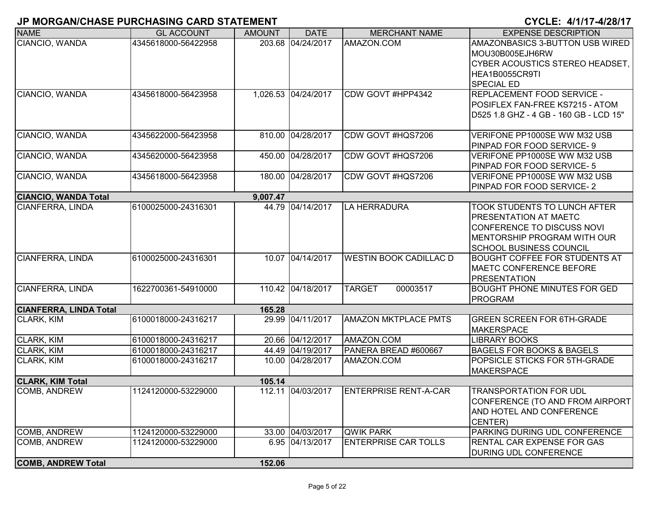| 203.68 04/24/2017<br>AMAZON.COM<br>4345618000-56422958<br>AMAZONBASICS 3-BUTTON USB WIRED<br>MOU30B005EJH6RW<br>CYBER ACOUSTICS STEREO HEADSET,<br>HEA1B0055CR9TI<br><b>SPECIAL ED</b><br>CIANCIO, WANDA<br>CDW GOVT #HPP4342<br><b>REPLACEMENT FOOD SERVICE -</b><br>4345618000-56423958<br>1,026.53 04/24/2017<br>POSIFLEX FAN-FREE KS7215 - ATOM<br>D525 1.8 GHZ - 4 GB - 160 GB - LCD 15"<br>4345622000-56423958<br>810.00 04/28/2017<br>CDW GOVT #HQS7206<br>VERIFONE PP1000SE WW M32 USB<br>PINPAD FOR FOOD SERVICE- 9<br>04/28/2017<br>CDW GOVT #HQS7206<br>4345620000-56423958<br>450.00<br>VERIFONE PP1000SE WW M32 USB<br>PINPAD FOR FOOD SERVICE- 5<br>180.00 04/28/2017<br>CDW GOVT #HQS7206<br>4345618000-56423958<br>VERIFONE PP1000SE WW M32 USB<br>PINPAD FOR FOOD SERVICE-2<br><b>CIANCIO, WANDA Total</b><br>9,007.47<br>CIANFERRA, LINDA<br>6100025000-24316301<br>44.79 04/14/2017<br>LA HERRADURA<br><b>TOOK STUDENTS TO LUNCH AFTER</b><br><b>PRESENTATION AT MAETC</b><br>CONFERENCE TO DISCUSS NOVI<br>MENTORSHIP PROGRAM WITH OUR<br>SCHOOL BUSINESS COUNCIL<br>CIANFERRA, LINDA<br>10.07 04/14/2017<br><b>WESTIN BOOK CADILLAC D</b><br>6100025000-24316301<br>BOUGHT COFFEE FOR STUDENTS AT<br><b>MAETC CONFERENCE BEFORE</b><br><b>PRESENTATION</b><br>CIANFERRA, LINDA<br>1622700361-54910000<br>110.42 04/18/2017<br><b>TARGET</b><br>00003517<br><b>BOUGHT PHONE MINUTES FOR GED</b><br>PROGRAM<br><b>CIANFERRA, LINDA Total</b><br>165.28<br>6100018000-24316217<br>29.99 04/11/2017<br><b>AMAZON MKTPLACE PMTS</b><br><b>GREEN SCREEN FOR 6TH-GRADE</b><br>MAKERSPACE<br><b>CLARK, KIM</b><br>20.66 04/12/2017<br>AMAZON.COM<br>6100018000-24316217<br><b>LIBRARY BOOKS</b><br><b>CLARK, KIM</b><br>6100018000-24316217<br>44.49 04/19/2017<br>PANERA BREAD #600667<br><b>BAGELS FOR BOOKS &amp; BAGELS</b><br>CLARK, KIM<br>6100018000-24316217<br>10.00 04/28/2017<br>AMAZON.COM<br>POPSICLE STICKS FOR 5TH-GRADE<br><b>MAKERSPACE</b><br><b>CLARK, KIM Total</b><br>105.14<br>112.11 04/03/2017<br>COMB, ANDREW<br>1124120000-53229000<br><b>ENTERPRISE RENT-A-CAR</b><br><b>TRANSPORTATION FOR UDL</b><br>AND HOTEL AND CONFERENCE<br>CENTER)<br><b>COMB, ANDREW</b><br>33.00 04/03/2017<br><b>QWIK PARK</b><br>PARKING DURING UDL CONFERENCE<br>1124120000-53229000<br><b>COMB, ANDREW</b><br>1124120000-53229000<br>6.95 04/13/2017<br><b>ENTERPRISE CAR TOLLS</b><br><b>RENTAL CAR EXPENSE FOR GAS</b><br><b>DURING UDL CONFERENCE</b><br><b>COMB, ANDREW Total</b><br>152.06 | <b>NAME</b>       | <b>GL ACCOUNT</b> | <b>AMOUNT</b> | <b>DATE</b> | <b>MERCHANT NAME</b> | <b>EXPENSE DESCRIPTION</b> |
|-----------------------------------------------------------------------------------------------------------------------------------------------------------------------------------------------------------------------------------------------------------------------------------------------------------------------------------------------------------------------------------------------------------------------------------------------------------------------------------------------------------------------------------------------------------------------------------------------------------------------------------------------------------------------------------------------------------------------------------------------------------------------------------------------------------------------------------------------------------------------------------------------------------------------------------------------------------------------------------------------------------------------------------------------------------------------------------------------------------------------------------------------------------------------------------------------------------------------------------------------------------------------------------------------------------------------------------------------------------------------------------------------------------------------------------------------------------------------------------------------------------------------------------------------------------------------------------------------------------------------------------------------------------------------------------------------------------------------------------------------------------------------------------------------------------------------------------------------------------------------------------------------------------------------------------------------------------------------------------------------------------------------------------------------------------------------------------------------------------------------------------------------------------------------------------------------------------------------------------------------------------------------------------------------------------------------------------------------------------------------------------------------------------------------------------------------------------------------------------------------------------------------|-------------------|-------------------|---------------|-------------|----------------------|----------------------------|
|                                                                                                                                                                                                                                                                                                                                                                                                                                                                                                                                                                                                                                                                                                                                                                                                                                                                                                                                                                                                                                                                                                                                                                                                                                                                                                                                                                                                                                                                                                                                                                                                                                                                                                                                                                                                                                                                                                                                                                                                                                                                                                                                                                                                                                                                                                                                                                                                                                                                                                                       | CIANCIO, WANDA    |                   |               |             |                      |                            |
| CONFERENCE (TO AND FROM AIRPORT)                                                                                                                                                                                                                                                                                                                                                                                                                                                                                                                                                                                                                                                                                                                                                                                                                                                                                                                                                                                                                                                                                                                                                                                                                                                                                                                                                                                                                                                                                                                                                                                                                                                                                                                                                                                                                                                                                                                                                                                                                                                                                                                                                                                                                                                                                                                                                                                                                                                                                      |                   |                   |               |             |                      |                            |
|                                                                                                                                                                                                                                                                                                                                                                                                                                                                                                                                                                                                                                                                                                                                                                                                                                                                                                                                                                                                                                                                                                                                                                                                                                                                                                                                                                                                                                                                                                                                                                                                                                                                                                                                                                                                                                                                                                                                                                                                                                                                                                                                                                                                                                                                                                                                                                                                                                                                                                                       |                   |                   |               |             |                      |                            |
|                                                                                                                                                                                                                                                                                                                                                                                                                                                                                                                                                                                                                                                                                                                                                                                                                                                                                                                                                                                                                                                                                                                                                                                                                                                                                                                                                                                                                                                                                                                                                                                                                                                                                                                                                                                                                                                                                                                                                                                                                                                                                                                                                                                                                                                                                                                                                                                                                                                                                                                       |                   |                   |               |             |                      |                            |
|                                                                                                                                                                                                                                                                                                                                                                                                                                                                                                                                                                                                                                                                                                                                                                                                                                                                                                                                                                                                                                                                                                                                                                                                                                                                                                                                                                                                                                                                                                                                                                                                                                                                                                                                                                                                                                                                                                                                                                                                                                                                                                                                                                                                                                                                                                                                                                                                                                                                                                                       |                   |                   |               |             |                      |                            |
|                                                                                                                                                                                                                                                                                                                                                                                                                                                                                                                                                                                                                                                                                                                                                                                                                                                                                                                                                                                                                                                                                                                                                                                                                                                                                                                                                                                                                                                                                                                                                                                                                                                                                                                                                                                                                                                                                                                                                                                                                                                                                                                                                                                                                                                                                                                                                                                                                                                                                                                       |                   |                   |               |             |                      |                            |
|                                                                                                                                                                                                                                                                                                                                                                                                                                                                                                                                                                                                                                                                                                                                                                                                                                                                                                                                                                                                                                                                                                                                                                                                                                                                                                                                                                                                                                                                                                                                                                                                                                                                                                                                                                                                                                                                                                                                                                                                                                                                                                                                                                                                                                                                                                                                                                                                                                                                                                                       |                   |                   |               |             |                      |                            |
|                                                                                                                                                                                                                                                                                                                                                                                                                                                                                                                                                                                                                                                                                                                                                                                                                                                                                                                                                                                                                                                                                                                                                                                                                                                                                                                                                                                                                                                                                                                                                                                                                                                                                                                                                                                                                                                                                                                                                                                                                                                                                                                                                                                                                                                                                                                                                                                                                                                                                                                       |                   |                   |               |             |                      |                            |
|                                                                                                                                                                                                                                                                                                                                                                                                                                                                                                                                                                                                                                                                                                                                                                                                                                                                                                                                                                                                                                                                                                                                                                                                                                                                                                                                                                                                                                                                                                                                                                                                                                                                                                                                                                                                                                                                                                                                                                                                                                                                                                                                                                                                                                                                                                                                                                                                                                                                                                                       | CIANCIO, WANDA    |                   |               |             |                      |                            |
|                                                                                                                                                                                                                                                                                                                                                                                                                                                                                                                                                                                                                                                                                                                                                                                                                                                                                                                                                                                                                                                                                                                                                                                                                                                                                                                                                                                                                                                                                                                                                                                                                                                                                                                                                                                                                                                                                                                                                                                                                                                                                                                                                                                                                                                                                                                                                                                                                                                                                                                       |                   |                   |               |             |                      |                            |
|                                                                                                                                                                                                                                                                                                                                                                                                                                                                                                                                                                                                                                                                                                                                                                                                                                                                                                                                                                                                                                                                                                                                                                                                                                                                                                                                                                                                                                                                                                                                                                                                                                                                                                                                                                                                                                                                                                                                                                                                                                                                                                                                                                                                                                                                                                                                                                                                                                                                                                                       | CIANCIO, WANDA    |                   |               |             |                      |                            |
|                                                                                                                                                                                                                                                                                                                                                                                                                                                                                                                                                                                                                                                                                                                                                                                                                                                                                                                                                                                                                                                                                                                                                                                                                                                                                                                                                                                                                                                                                                                                                                                                                                                                                                                                                                                                                                                                                                                                                                                                                                                                                                                                                                                                                                                                                                                                                                                                                                                                                                                       |                   |                   |               |             |                      |                            |
|                                                                                                                                                                                                                                                                                                                                                                                                                                                                                                                                                                                                                                                                                                                                                                                                                                                                                                                                                                                                                                                                                                                                                                                                                                                                                                                                                                                                                                                                                                                                                                                                                                                                                                                                                                                                                                                                                                                                                                                                                                                                                                                                                                                                                                                                                                                                                                                                                                                                                                                       | CIANCIO, WANDA    |                   |               |             |                      |                            |
|                                                                                                                                                                                                                                                                                                                                                                                                                                                                                                                                                                                                                                                                                                                                                                                                                                                                                                                                                                                                                                                                                                                                                                                                                                                                                                                                                                                                                                                                                                                                                                                                                                                                                                                                                                                                                                                                                                                                                                                                                                                                                                                                                                                                                                                                                                                                                                                                                                                                                                                       |                   |                   |               |             |                      |                            |
|                                                                                                                                                                                                                                                                                                                                                                                                                                                                                                                                                                                                                                                                                                                                                                                                                                                                                                                                                                                                                                                                                                                                                                                                                                                                                                                                                                                                                                                                                                                                                                                                                                                                                                                                                                                                                                                                                                                                                                                                                                                                                                                                                                                                                                                                                                                                                                                                                                                                                                                       |                   |                   |               |             |                      |                            |
|                                                                                                                                                                                                                                                                                                                                                                                                                                                                                                                                                                                                                                                                                                                                                                                                                                                                                                                                                                                                                                                                                                                                                                                                                                                                                                                                                                                                                                                                                                                                                                                                                                                                                                                                                                                                                                                                                                                                                                                                                                                                                                                                                                                                                                                                                                                                                                                                                                                                                                                       |                   |                   |               |             |                      |                            |
|                                                                                                                                                                                                                                                                                                                                                                                                                                                                                                                                                                                                                                                                                                                                                                                                                                                                                                                                                                                                                                                                                                                                                                                                                                                                                                                                                                                                                                                                                                                                                                                                                                                                                                                                                                                                                                                                                                                                                                                                                                                                                                                                                                                                                                                                                                                                                                                                                                                                                                                       |                   |                   |               |             |                      |                            |
|                                                                                                                                                                                                                                                                                                                                                                                                                                                                                                                                                                                                                                                                                                                                                                                                                                                                                                                                                                                                                                                                                                                                                                                                                                                                                                                                                                                                                                                                                                                                                                                                                                                                                                                                                                                                                                                                                                                                                                                                                                                                                                                                                                                                                                                                                                                                                                                                                                                                                                                       |                   |                   |               |             |                      |                            |
|                                                                                                                                                                                                                                                                                                                                                                                                                                                                                                                                                                                                                                                                                                                                                                                                                                                                                                                                                                                                                                                                                                                                                                                                                                                                                                                                                                                                                                                                                                                                                                                                                                                                                                                                                                                                                                                                                                                                                                                                                                                                                                                                                                                                                                                                                                                                                                                                                                                                                                                       |                   |                   |               |             |                      |                            |
|                                                                                                                                                                                                                                                                                                                                                                                                                                                                                                                                                                                                                                                                                                                                                                                                                                                                                                                                                                                                                                                                                                                                                                                                                                                                                                                                                                                                                                                                                                                                                                                                                                                                                                                                                                                                                                                                                                                                                                                                                                                                                                                                                                                                                                                                                                                                                                                                                                                                                                                       |                   |                   |               |             |                      |                            |
|                                                                                                                                                                                                                                                                                                                                                                                                                                                                                                                                                                                                                                                                                                                                                                                                                                                                                                                                                                                                                                                                                                                                                                                                                                                                                                                                                                                                                                                                                                                                                                                                                                                                                                                                                                                                                                                                                                                                                                                                                                                                                                                                                                                                                                                                                                                                                                                                                                                                                                                       |                   |                   |               |             |                      |                            |
|                                                                                                                                                                                                                                                                                                                                                                                                                                                                                                                                                                                                                                                                                                                                                                                                                                                                                                                                                                                                                                                                                                                                                                                                                                                                                                                                                                                                                                                                                                                                                                                                                                                                                                                                                                                                                                                                                                                                                                                                                                                                                                                                                                                                                                                                                                                                                                                                                                                                                                                       |                   |                   |               |             |                      |                            |
|                                                                                                                                                                                                                                                                                                                                                                                                                                                                                                                                                                                                                                                                                                                                                                                                                                                                                                                                                                                                                                                                                                                                                                                                                                                                                                                                                                                                                                                                                                                                                                                                                                                                                                                                                                                                                                                                                                                                                                                                                                                                                                                                                                                                                                                                                                                                                                                                                                                                                                                       |                   |                   |               |             |                      |                            |
|                                                                                                                                                                                                                                                                                                                                                                                                                                                                                                                                                                                                                                                                                                                                                                                                                                                                                                                                                                                                                                                                                                                                                                                                                                                                                                                                                                                                                                                                                                                                                                                                                                                                                                                                                                                                                                                                                                                                                                                                                                                                                                                                                                                                                                                                                                                                                                                                                                                                                                                       |                   |                   |               |             |                      |                            |
|                                                                                                                                                                                                                                                                                                                                                                                                                                                                                                                                                                                                                                                                                                                                                                                                                                                                                                                                                                                                                                                                                                                                                                                                                                                                                                                                                                                                                                                                                                                                                                                                                                                                                                                                                                                                                                                                                                                                                                                                                                                                                                                                                                                                                                                                                                                                                                                                                                                                                                                       |                   |                   |               |             |                      |                            |
|                                                                                                                                                                                                                                                                                                                                                                                                                                                                                                                                                                                                                                                                                                                                                                                                                                                                                                                                                                                                                                                                                                                                                                                                                                                                                                                                                                                                                                                                                                                                                                                                                                                                                                                                                                                                                                                                                                                                                                                                                                                                                                                                                                                                                                                                                                                                                                                                                                                                                                                       | <b>CLARK, KIM</b> |                   |               |             |                      |                            |
|                                                                                                                                                                                                                                                                                                                                                                                                                                                                                                                                                                                                                                                                                                                                                                                                                                                                                                                                                                                                                                                                                                                                                                                                                                                                                                                                                                                                                                                                                                                                                                                                                                                                                                                                                                                                                                                                                                                                                                                                                                                                                                                                                                                                                                                                                                                                                                                                                                                                                                                       |                   |                   |               |             |                      |                            |
|                                                                                                                                                                                                                                                                                                                                                                                                                                                                                                                                                                                                                                                                                                                                                                                                                                                                                                                                                                                                                                                                                                                                                                                                                                                                                                                                                                                                                                                                                                                                                                                                                                                                                                                                                                                                                                                                                                                                                                                                                                                                                                                                                                                                                                                                                                                                                                                                                                                                                                                       |                   |                   |               |             |                      |                            |
|                                                                                                                                                                                                                                                                                                                                                                                                                                                                                                                                                                                                                                                                                                                                                                                                                                                                                                                                                                                                                                                                                                                                                                                                                                                                                                                                                                                                                                                                                                                                                                                                                                                                                                                                                                                                                                                                                                                                                                                                                                                                                                                                                                                                                                                                                                                                                                                                                                                                                                                       |                   |                   |               |             |                      |                            |
|                                                                                                                                                                                                                                                                                                                                                                                                                                                                                                                                                                                                                                                                                                                                                                                                                                                                                                                                                                                                                                                                                                                                                                                                                                                                                                                                                                                                                                                                                                                                                                                                                                                                                                                                                                                                                                                                                                                                                                                                                                                                                                                                                                                                                                                                                                                                                                                                                                                                                                                       |                   |                   |               |             |                      |                            |
|                                                                                                                                                                                                                                                                                                                                                                                                                                                                                                                                                                                                                                                                                                                                                                                                                                                                                                                                                                                                                                                                                                                                                                                                                                                                                                                                                                                                                                                                                                                                                                                                                                                                                                                                                                                                                                                                                                                                                                                                                                                                                                                                                                                                                                                                                                                                                                                                                                                                                                                       |                   |                   |               |             |                      |                            |
|                                                                                                                                                                                                                                                                                                                                                                                                                                                                                                                                                                                                                                                                                                                                                                                                                                                                                                                                                                                                                                                                                                                                                                                                                                                                                                                                                                                                                                                                                                                                                                                                                                                                                                                                                                                                                                                                                                                                                                                                                                                                                                                                                                                                                                                                                                                                                                                                                                                                                                                       |                   |                   |               |             |                      |                            |
|                                                                                                                                                                                                                                                                                                                                                                                                                                                                                                                                                                                                                                                                                                                                                                                                                                                                                                                                                                                                                                                                                                                                                                                                                                                                                                                                                                                                                                                                                                                                                                                                                                                                                                                                                                                                                                                                                                                                                                                                                                                                                                                                                                                                                                                                                                                                                                                                                                                                                                                       |                   |                   |               |             |                      |                            |
|                                                                                                                                                                                                                                                                                                                                                                                                                                                                                                                                                                                                                                                                                                                                                                                                                                                                                                                                                                                                                                                                                                                                                                                                                                                                                                                                                                                                                                                                                                                                                                                                                                                                                                                                                                                                                                                                                                                                                                                                                                                                                                                                                                                                                                                                                                                                                                                                                                                                                                                       |                   |                   |               |             |                      |                            |
|                                                                                                                                                                                                                                                                                                                                                                                                                                                                                                                                                                                                                                                                                                                                                                                                                                                                                                                                                                                                                                                                                                                                                                                                                                                                                                                                                                                                                                                                                                                                                                                                                                                                                                                                                                                                                                                                                                                                                                                                                                                                                                                                                                                                                                                                                                                                                                                                                                                                                                                       |                   |                   |               |             |                      |                            |
|                                                                                                                                                                                                                                                                                                                                                                                                                                                                                                                                                                                                                                                                                                                                                                                                                                                                                                                                                                                                                                                                                                                                                                                                                                                                                                                                                                                                                                                                                                                                                                                                                                                                                                                                                                                                                                                                                                                                                                                                                                                                                                                                                                                                                                                                                                                                                                                                                                                                                                                       |                   |                   |               |             |                      |                            |
|                                                                                                                                                                                                                                                                                                                                                                                                                                                                                                                                                                                                                                                                                                                                                                                                                                                                                                                                                                                                                                                                                                                                                                                                                                                                                                                                                                                                                                                                                                                                                                                                                                                                                                                                                                                                                                                                                                                                                                                                                                                                                                                                                                                                                                                                                                                                                                                                                                                                                                                       |                   |                   |               |             |                      |                            |
|                                                                                                                                                                                                                                                                                                                                                                                                                                                                                                                                                                                                                                                                                                                                                                                                                                                                                                                                                                                                                                                                                                                                                                                                                                                                                                                                                                                                                                                                                                                                                                                                                                                                                                                                                                                                                                                                                                                                                                                                                                                                                                                                                                                                                                                                                                                                                                                                                                                                                                                       |                   |                   |               |             |                      |                            |
|                                                                                                                                                                                                                                                                                                                                                                                                                                                                                                                                                                                                                                                                                                                                                                                                                                                                                                                                                                                                                                                                                                                                                                                                                                                                                                                                                                                                                                                                                                                                                                                                                                                                                                                                                                                                                                                                                                                                                                                                                                                                                                                                                                                                                                                                                                                                                                                                                                                                                                                       |                   |                   |               |             |                      |                            |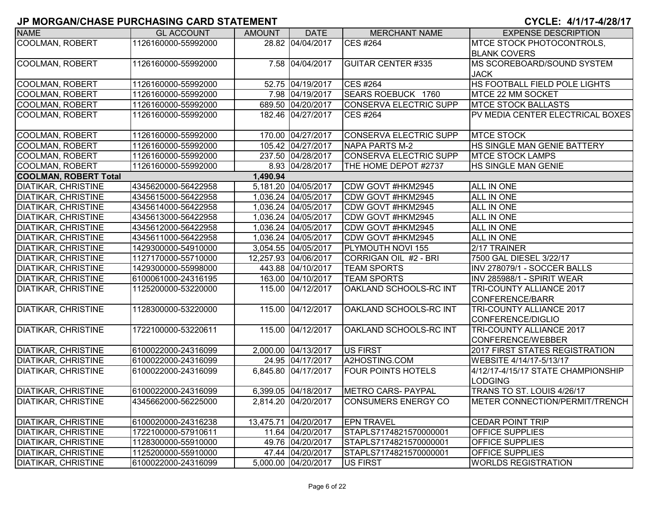| <b>NAME</b>                  | <b>GL ACCOUNT</b>   | <b>AMOUNT</b> | <b>DATE</b>          | <b>MERCHANT NAME</b>                        | <b>EXPENSE DESCRIPTION</b>         |
|------------------------------|---------------------|---------------|----------------------|---------------------------------------------|------------------------------------|
| <b>COOLMAN, ROBERT</b>       | 1126160000-55992000 |               | 28.82 04/04/2017     | <b>CES #264</b>                             | <b>MTCE STOCK PHOTOCONTROLS,</b>   |
|                              |                     |               |                      |                                             | <b>BLANK COVERS</b>                |
| COOLMAN, ROBERT              | 1126160000-55992000 |               | 7.58 04/04/2017      | <b>GUITAR CENTER #335</b>                   | <b>IMS SCOREBOARD/SOUND SYSTEM</b> |
|                              |                     |               |                      |                                             | <b>JACK</b>                        |
| <b>COOLMAN, ROBERT</b>       | 1126160000-55992000 |               | 52.75 04/19/2017     | <b>CES #264</b>                             | HS FOOTBALL FIELD POLE LIGHTS      |
| <b>COOLMAN, ROBERT</b>       | 1126160000-55992000 |               | 7.98 04/19/2017      | <b>SEARS ROEBUCK 1760</b>                   | MTCE 22 MM SOCKET                  |
| <b>COOLMAN, ROBERT</b>       | 1126160000-55992000 |               | 689.50 04/20/2017    | <b>CONSERVA ELECTRIC SUPP</b>               | <b>MTCE STOCK BALLASTS</b>         |
| <b>COOLMAN, ROBERT</b>       | 1126160000-55992000 |               | 182.46 04/27/2017    | <b>CES #264</b>                             | PV MEDIA CENTER ELECTRICAL BOXES   |
|                              |                     |               |                      |                                             |                                    |
| <b>COOLMAN, ROBERT</b>       | 1126160000-55992000 |               | 170.00 04/27/2017    | <b>CONSERVA ELECTRIC SUPP</b>               | <b>MTCE STOCK</b>                  |
| <b>COOLMAN, ROBERT</b>       | 1126160000-55992000 |               | 105.42 04/27/2017    | NAPA PARTS M-2                              | <b>HS SINGLE MAN GENIE BATTERY</b> |
| COOLMAN, ROBERT              | 1126160000-55992000 |               | 237.50 04/28/2017    | <b>CONSERVA ELECTRIC SUPP</b>               | <b>MTCE STOCK LAMPS</b>            |
| COOLMAN, ROBERT              | 1126160000-55992000 |               | 8.93 04/28/2017      | THE HOME DEPOT #2737                        | HS SINGLE MAN GENIE                |
| <b>COOLMAN, ROBERT Total</b> |                     | 1,490.94      |                      |                                             |                                    |
| <b>DIATIKAR, CHRISTINE</b>   | 4345620000-56422958 |               | 5,181.20 04/05/2017  | CDW GOVT #HKM2945                           | ALL IN ONE                         |
| <b>DIATIKAR, CHRISTINE</b>   | 4345615000-56422958 |               | 1,036.24 04/05/2017  | CDW GOVT #HKM2945                           | <b>ALL IN ONE</b>                  |
| <b>DIATIKAR, CHRISTINE</b>   | 4345614000-56422958 |               | 1,036.24 04/05/2017  | CDW GOVT #HKM2945                           | <b>ALL IN ONE</b>                  |
| <b>DIATIKAR, CHRISTINE</b>   | 4345613000-56422958 |               | 1,036.24 04/05/2017  | CDW GOVT #HKM2945                           | <b>ALL IN ONE</b>                  |
| <b>DIATIKAR, CHRISTINE</b>   | 4345612000-56422958 |               | 1,036.24 04/05/2017  | CDW GOVT #HKM2945                           | <b>ALL IN ONE</b>                  |
| <b>DIATIKAR, CHRISTINE</b>   | 4345611000-56422958 |               | 1,036.24 04/05/2017  | CDW GOVT #HKM2945                           | <b>ALL IN ONE</b>                  |
| <b>DIATIKAR, CHRISTINE</b>   | 1429300000-54910000 |               | 3,054.55 04/05/2017  | PLYMOUTH NOVI 155                           | 2/17 TRAINER                       |
| <b>DIATIKAR, CHRISTINE</b>   | 1127170000-55710000 |               | 12,257.93 04/06/2017 | CORRIGAN OIL #2 - BRI                       | 7500 GAL DIESEL 3/22/17            |
| <b>DIATIKAR, CHRISTINE</b>   | 1429300000-55998000 |               | 443.88 04/10/2017    | <b>TEAM SPORTS</b>                          | INV 278079/1 - SOCCER BALLS        |
| <b>DIATIKAR, CHRISTINE</b>   | 6100061000-24316195 |               | 163.00 04/10/2017    | <b>TEAM SPORTS</b>                          | INV 285988/1 - SPIRIT WEAR         |
| <b>DIATIKAR, CHRISTINE</b>   | 1125200000-53220000 |               | 115.00 04/12/2017    | OAKLAND SCHOOLS-RC INT                      | TRI-COUNTY ALLIANCE 2017           |
|                              |                     |               |                      |                                             | <b>CONFERENCE/BARR</b>             |
| <b>DIATIKAR, CHRISTINE</b>   | 1128300000-53220000 |               | 115.00 04/12/2017    | OAKLAND SCHOOLS-RC INT                      | <b>TRI-COUNTY ALLIANCE 2017</b>    |
|                              |                     |               |                      |                                             | CONFERENCE/DIGLIO                  |
| <b>DIATIKAR, CHRISTINE</b>   | 1722100000-53220611 |               | 115.00 04/12/2017    | OAKLAND SCHOOLS-RC INT                      | <b>TRI-COUNTY ALLIANCE 2017</b>    |
|                              |                     |               |                      |                                             | <b>CONFERENCE/WEBBER</b>           |
| <b>DIATIKAR, CHRISTINE</b>   | 6100022000-24316099 |               | 2,000.00 04/13/2017  | <b>US FIRST</b>                             | 2017 FIRST STATES REGISTRATION     |
| <b>DIATIKAR, CHRISTINE</b>   | 6100022000-24316099 |               | 24.95 04/17/2017     | A2HOSTING.COM                               | WEBSITE 4/14/17-5/13/17            |
| <b>DIATIKAR, CHRISTINE</b>   | 6100022000-24316099 |               | 6,845.80 04/17/2017  | <b>FOUR POINTS HOTELS</b>                   | 4/12/17-4/15/17 STATE CHAMPIONSHIP |
|                              |                     |               |                      |                                             | <b>LODGING</b>                     |
| <b>DIATIKAR, CHRISTINE</b>   | 6100022000-24316099 |               | 6,399.05 04/18/2017  | METRO CARS- PAYPAL                          | TRANS TO ST. LOUIS 4/26/17         |
| <b>DIATIKAR, CHRISTINE</b>   | 4345662000-56225000 |               | 2,814.20 04/20/2017  | CONSUMERS ENERGY CO                         | METER CONNECTION/PERMIT/TRENCH     |
|                              |                     |               | 13,475.71 04/20/2017 |                                             |                                    |
| <b>DIATIKAR, CHRISTINE</b>   | 6100020000-24316238 |               | 11.64 04/20/2017     | <b>EPN TRAVEL</b><br>STAPLS7174821570000001 | <b>CEDAR POINT TRIP</b>            |
| DIATIKAR, CHRISTINE          | 1722100000-57910611 |               |                      |                                             | <b>OFFICE SUPPLIES</b>             |
| DIATIKAR, CHRISTINE          | 1128300000-55910000 |               | 49.76 04/20/2017     | STAPLS7174821570000001                      | <b>OFFICE SUPPLIES</b>             |
| <b>DIATIKAR, CHRISTINE</b>   | 1125200000-55910000 |               | 47.44 04/20/2017     | STAPLS7174821570000001                      | <b>OFFICE SUPPLIES</b>             |
| <b>DIATIKAR, CHRISTINE</b>   | 6100022000-24316099 |               | 5,000.00 04/20/2017  | US FIRST                                    | <b>WORLDS REGISTRATION</b>         |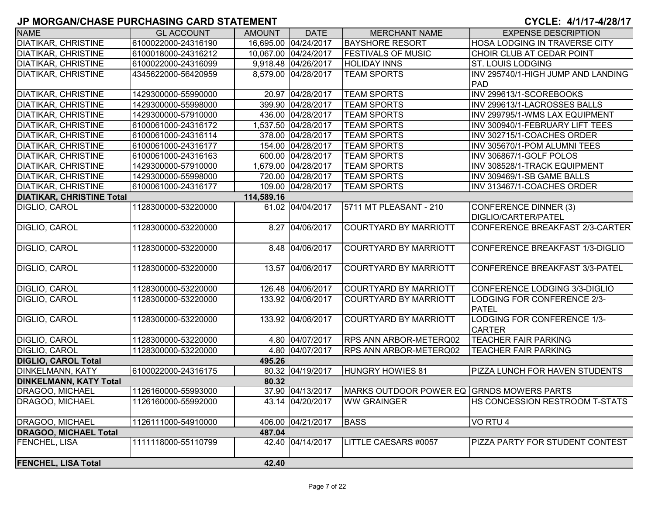| <b>NAME</b>                      | <b>GL ACCOUNT</b>   | <b>AMOUNT</b> | <b>DATE</b>          | <b>MERCHANT NAME</b>                      | <b>EXPENSE DESCRIPTION</b>            |
|----------------------------------|---------------------|---------------|----------------------|-------------------------------------------|---------------------------------------|
| <b>DIATIKAR, CHRISTINE</b>       | 6100022000-24316190 |               | 16,695.00 04/24/2017 | <b>BAYSHORE RESORT</b>                    | HOSA LODGING IN TRAVERSE CITY         |
| <b>DIATIKAR, CHRISTINE</b>       | 6100018000-24316212 |               | 10,067.00 04/24/2017 | <b>FESTIVALS OF MUSIC</b>                 | CHOIR CLUB AT CEDAR POINT             |
| <b>DIATIKAR, CHRISTINE</b>       | 6100022000-24316099 |               | 9,918.48 04/26/2017  | <b>HOLIDAY INNS</b>                       | <b>ST. LOUIS LODGING</b>              |
| <b>DIATIKAR, CHRISTINE</b>       | 4345622000-56420959 |               | 8,579.00 04/28/2017  | <b>TEAM SPORTS</b>                        | INV 295740/1-HIGH JUMP AND LANDING    |
|                                  |                     |               |                      |                                           | PAD                                   |
| <b>DIATIKAR, CHRISTINE</b>       | 1429300000-55990000 |               | 20.97 04/28/2017     | <b>TEAM SPORTS</b>                        | INV 299613/1-SCOREBOOKS               |
| <b>DIATIKAR, CHRISTINE</b>       | 1429300000-55998000 |               | 399.90 04/28/2017    | <b>TEAM SPORTS</b>                        | INV 299613/1-LACROSSES BALLS          |
| <b>DIATIKAR, CHRISTINE</b>       | 1429300000-57910000 |               | 436.00 04/28/2017    | <b>TEAM SPORTS</b>                        | INV 299795/1-WMS LAX EQUIPMENT        |
| <b>DIATIKAR, CHRISTINE</b>       | 6100061000-24316172 |               | 1,537.50 04/28/2017  | <b>TEAM SPORTS</b>                        | INV 300940/1-FEBRUARY LIFT TEES       |
| <b>DIATIKAR, CHRISTINE</b>       | 6100061000-24316114 |               | 378.00 04/28/2017    | <b>TEAM SPORTS</b>                        | INV 302715/1-COACHES ORDER            |
| <b>DIATIKAR, CHRISTINE</b>       | 6100061000-24316177 |               | 154.00 04/28/2017    | <b>TEAM SPORTS</b>                        | INV 305670/1-POM ALUMNI TEES          |
| <b>DIATIKAR, CHRISTINE</b>       | 6100061000-24316163 |               | 600.00 04/28/2017    | <b>TEAM SPORTS</b>                        | INV 306867/1-GOLF POLOS               |
| <b>DIATIKAR, CHRISTINE</b>       | 1429300000-57910000 |               | 1,679.00 04/28/2017  | <b>TEAM SPORTS</b>                        | INV 308528/1-TRACK EQUIPMENT          |
| <b>DIATIKAR, CHRISTINE</b>       | 1429300000-55998000 |               | 720.00 04/28/2017    | <b>TEAM SPORTS</b>                        | INV 309469/1-SB GAME BALLS            |
| <b>DIATIKAR, CHRISTINE</b>       | 6100061000-24316177 |               | 109.00 04/28/2017    | <b>TEAM SPORTS</b>                        | INV 313467/1-COACHES ORDER            |
| <b>DIATIKAR, CHRISTINE Total</b> |                     | 114,589.16    |                      |                                           |                                       |
| DIGLIO, CAROL                    | 1128300000-53220000 |               | 61.02 04/04/2017     | 5711 MT PLEASANT - 210                    | CONFERENCE DINNER (3)                 |
|                                  |                     |               |                      |                                           | <b>DIGLIO/CARTER/PATEL</b>            |
| DIGLIO, CAROL                    | 1128300000-53220000 |               | 8.27 04/06/2017      | <b>COURTYARD BY MARRIOTT</b>              | CONFERENCE BREAKFAST 2/3-CARTER       |
|                                  |                     |               |                      |                                           |                                       |
| DIGLIO, CAROL                    | 1128300000-53220000 |               | 8.48 04/06/2017      | <b>COURTYARD BY MARRIOTT</b>              | CONFERENCE BREAKFAST 1/3-DIGLIO       |
|                                  |                     |               |                      |                                           |                                       |
| DIGLIO, CAROL                    | 1128300000-53220000 |               | 13.57 04/06/2017     | <b>COURTYARD BY MARRIOTT</b>              | CONFERENCE BREAKFAST 3/3-PATEL        |
|                                  |                     |               |                      |                                           |                                       |
| <b>DIGLIO, CAROL</b>             | 1128300000-53220000 |               | 126.48 04/06/2017    | <b>COURTYARD BY MARRIOTT</b>              | CONFERENCE LODGING 3/3-DIGLIO         |
| DIGLIO, CAROL                    | 1128300000-53220000 |               | 133.92 04/06/2017    | <b>COURTYARD BY MARRIOTT</b>              | LODGING FOR CONFERENCE 2/3-           |
|                                  |                     |               |                      |                                           | <b>PATEL</b>                          |
| DIGLIO, CAROL                    | 1128300000-53220000 |               | 133.92 04/06/2017    | <b>COURTYARD BY MARRIOTT</b>              | LODGING FOR CONFERENCE 1/3-           |
|                                  |                     |               |                      |                                           | <b>CARTER</b>                         |
| DIGLIO, CAROL                    | 1128300000-53220000 |               | 4.80 04/07/2017      | <b>RPS ANN ARBOR-METERQ02</b>             | <b>TEACHER FAIR PARKING</b>           |
| <b>DIGLIO, CAROL</b>             | 1128300000-53220000 |               | 4.80 04/07/2017      | <b>RPS ANN ARBOR-METERQ02</b>             | <b>TEACHER FAIR PARKING</b>           |
| <b>DIGLIO, CAROL Total</b>       |                     | 495.26        |                      |                                           |                                       |
| <b>DINKELMANN, KATY</b>          | 6100022000-24316175 |               | 80.32 04/19/2017     | <b>HUNGRY HOWIES 81</b>                   | <b>PIZZA LUNCH FOR HAVEN STUDENTS</b> |
| <b>DINKELMANN, KATY Total</b>    |                     | 80.32         |                      |                                           |                                       |
| DRAGOO, MICHAEL                  | 1126160000-55993000 |               | 37.90 04/13/2017     | MARKS OUTDOOR POWER EQ GRNDS MOWERS PARTS |                                       |
| DRAGOO, MICHAEL                  | 1126160000-55992000 |               | 43.14 04/20/2017     | <b>WW GRAINGER</b>                        | <b>HS CONCESSION RESTROOM T-STATS</b> |
| DRAGOO, MICHAEL                  | 1126111000-54910000 |               | 406.00 04/21/2017    | <b>BASS</b>                               | VO RTU 4                              |
| <b>DRAGOO, MICHAEL Total</b>     |                     | 487.04        |                      |                                           |                                       |
| <b>FENCHEL, LISA</b>             | 1111118000-55110799 |               | 42.40 04/14/2017     | LITTLE CAESARS #0057                      | PIZZA PARTY FOR STUDENT CONTEST       |
|                                  |                     |               |                      |                                           |                                       |
| <b>FENCHEL, LISA Total</b>       |                     | 42.40         |                      |                                           |                                       |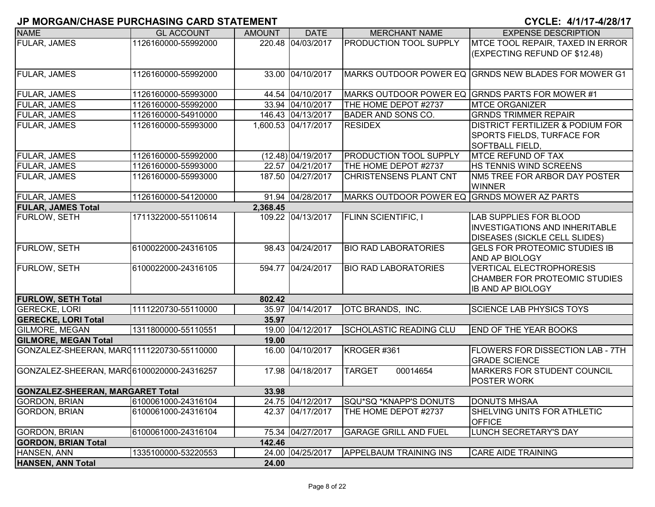| <b>NAME</b>                               | <b>GL ACCOUNT</b>   | <b>AMOUNT</b> | <b>DATE</b>         | <b>MERCHANT NAME</b>                        | <b>EXPENSE DESCRIPTION</b>                                   |
|-------------------------------------------|---------------------|---------------|---------------------|---------------------------------------------|--------------------------------------------------------------|
| <b>FULAR, JAMES</b>                       | 1126160000-55992000 |               | 220.48 04/03/2017   | <b>PRODUCTION TOOL SUPPLY</b>               | MTCE TOOL REPAIR, TAXED IN ERROR                             |
|                                           |                     |               |                     |                                             | (EXPECTING REFUND OF \$12.48)                                |
|                                           |                     |               |                     |                                             |                                                              |
| <b>FULAR, JAMES</b>                       | 1126160000-55992000 |               | 33.00 04/10/2017    |                                             | <b>IMARKS OUTDOOR POWER EQ GRNDS NEW BLADES FOR MOWER G1</b> |
|                                           |                     |               |                     |                                             |                                                              |
| <b>FULAR, JAMES</b>                       | 1126160000-55993000 |               | 44.54 04/10/2017    |                                             | MARKS OUTDOOR POWER EQ GRNDS PARTS FOR MOWER #1              |
| <b>FULAR, JAMES</b>                       | 1126160000-55992000 |               | 33.94 04/10/2017    | THE HOME DEPOT #2737                        | <b>MTCE ORGANIZER</b>                                        |
| FULAR, JAMES                              | 1126160000-54910000 |               | 146.43 04/13/2017   | BADER AND SONS CO.                          | <b>GRNDS TRIMMER REPAIR</b>                                  |
| <b>FULAR, JAMES</b>                       | 1126160000-55993000 |               | 1,600.53 04/17/2017 | <b>RESIDEX</b>                              | DISTRICT FERTILIZER & PODIUM FOR                             |
|                                           |                     |               |                     |                                             | SPORTS FIELDS, TURFACE FOR                                   |
|                                           |                     |               |                     |                                             | <b>SOFTBALL FIELD,</b>                                       |
| <b>FULAR, JAMES</b>                       | 1126160000-55992000 |               | (12.48) 04/19/2017  | <b>PRODUCTION TOOL SUPPLY</b>               | <b>MTCE REFUND OF TAX</b>                                    |
| <b>FULAR, JAMES</b>                       | 1126160000-55993000 |               | 22.57 04/21/2017    | THE HOME DEPOT #2737                        | <b>HS TENNIS WIND SCREENS</b>                                |
| <b>FULAR, JAMES</b>                       | 1126160000-55993000 |               | 187.50 04/27/2017   | CHRISTENSENS PLANT CNT                      | NM5 TREE FOR ARBOR DAY POSTER                                |
|                                           |                     |               |                     |                                             | <b>WINNER</b>                                                |
| <b>FULAR, JAMES</b>                       | 1126160000-54120000 |               | 91.94 04/28/2017    | MARKS OUTDOOR POWER EQ GRNDS MOWER AZ PARTS |                                                              |
| <b>FULAR, JAMES Total</b>                 |                     | 2,368.45      |                     |                                             |                                                              |
| FURLOW, SETH                              | 1711322000-55110614 |               | 109.22 04/13/2017   | <b>FLINN SCIENTIFIC, I</b>                  | <b>LAB SUPPLIES FOR BLOOD</b>                                |
|                                           |                     |               |                     |                                             | <b>INVESTIGATIONS AND INHERITABLE</b>                        |
|                                           |                     |               |                     |                                             | <b>DISEASES (SICKLE CELL SLIDES)</b>                         |
| FURLOW, SETH                              | 6100022000-24316105 |               | 98.43 04/24/2017    | <b>BIO RAD LABORATORIES</b>                 | <b>GELS FOR PROTEOMIC STUDIES IB</b>                         |
|                                           |                     |               |                     |                                             | <b>AND AP BIOLOGY</b>                                        |
| FURLOW, SETH                              | 6100022000-24316105 |               | 594.77 04/24/2017   | <b>BIO RAD LABORATORIES</b>                 | <b>VERTICAL ELECTROPHORESIS</b>                              |
|                                           |                     |               |                     |                                             | CHAMBER FOR PROTEOMIC STUDIES                                |
|                                           |                     |               |                     |                                             | <b>IB AND AP BIOLOGY</b>                                     |
| <b>FURLOW, SETH Total</b>                 |                     | 802.42        |                     |                                             |                                                              |
| <b>GERECKE, LORI</b>                      | 1111220730-55110000 |               | 35.97 04/14/2017    | OTC BRANDS, INC.                            | <b>SCIENCE LAB PHYSICS TOYS</b>                              |
| <b>GERECKE, LORI Total</b>                |                     | 35.97         |                     |                                             |                                                              |
| <b>GILMORE, MEGAN</b>                     | 1311800000-55110551 |               | 19.00 04/12/2017    | SCHOLASTIC READING CLU                      | <b>END OF THE YEAR BOOKS</b>                                 |
| <b>GILMORE, MEGAN Total</b>               |                     | 19.00         |                     |                                             |                                                              |
| GONZALEZ-SHEERAN, MARQ1111220730-55110000 |                     |               | 16.00 04/10/2017    | KROGER #361                                 | FLOWERS FOR DISSECTION LAB - 7TH<br><b>GRADE SCIENCE</b>     |
| GONZALEZ-SHEERAN, MAR06100020000-24316257 |                     |               | 17.98 04/18/2017    | <b>TARGET</b><br>00014654                   | MARKERS FOR STUDENT COUNCIL                                  |
|                                           |                     |               |                     |                                             | POSTER WORK                                                  |
| <b>GONZALEZ-SHEERAN, MARGARET Total</b>   |                     | 33.98         |                     |                                             |                                                              |
| <b>GORDON, BRIAN</b>                      | 6100061000-24316104 |               | 24.75 04/12/2017    | SQU*SQ *KNAPP'S DONUTS                      | <b>DONUTS MHSAA</b>                                          |
| <b>GORDON, BRIAN</b>                      | 6100061000-24316104 |               | 42.37 04/17/2017    | THE HOME DEPOT #2737                        | SHELVING UNITS FOR ATHLETIC                                  |
|                                           |                     |               |                     |                                             | <b>OFFICE</b>                                                |
| <b>GORDON, BRIAN</b>                      | 6100061000-24316104 |               | 75.34 04/27/2017    | <b>GARAGE GRILL AND FUEL</b>                | LUNCH SECRETARY'S DAY                                        |
| <b>GORDON, BRIAN Total</b>                |                     | 142.46        |                     |                                             |                                                              |
| HANSEN, ANN                               | 1335100000-53220553 |               | 24.00 04/25/2017    | <b>APPELBAUM TRAINING INS</b>               | <b>CARE AIDE TRAINING</b>                                    |
| HANSEN, ANN Total                         |                     | 24.00         |                     |                                             |                                                              |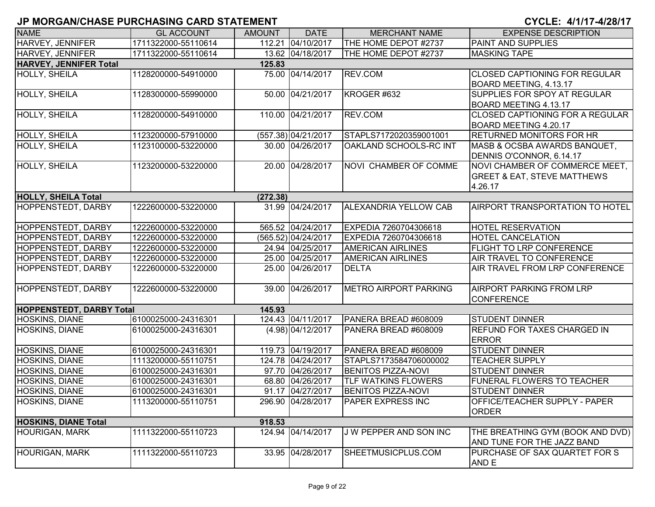| CYCLE: 4/1/17-4/28/17 |
|-----------------------|
|-----------------------|

| <b>NAME</b>                     | <b>GL ACCOUNT</b>   | <b>AMOUNT</b> | <b>DATE</b>         | <b>MERCHANT NAME</b>         | <b>EXPENSE DESCRIPTION</b>                           |
|---------------------------------|---------------------|---------------|---------------------|------------------------------|------------------------------------------------------|
| <b>HARVEY, JENNIFER</b>         | 1711322000-55110614 |               | 112.21 04/10/2017   | THE HOME DEPOT #2737         | PAINT AND SUPPLIES                                   |
| <b>HARVEY, JENNIFER</b>         | 1711322000-55110614 |               | 13.62 04/18/2017    | THE HOME DEPOT #2737         | <b>MASKING TAPE</b>                                  |
| <b>HARVEY, JENNIFER Total</b>   |                     | 125.83        |                     |                              |                                                      |
| HOLLY, SHEILA                   | 1128200000-54910000 |               | 75.00 04/14/2017    | REV.COM                      | <b>CLOSED CAPTIONING FOR REGULAR</b>                 |
|                                 |                     |               |                     |                              | BOARD MEETING, 4.13.17                               |
| <b>HOLLY, SHEILA</b>            | 1128300000-55990000 |               | 50.00 04/21/2017    | KROGER #632                  | SUPPLIES FOR SPOY AT REGULAR                         |
|                                 |                     |               |                     |                              | BOARD MEETING 4.13.17                                |
| HOLLY, SHEILA                   | 1128200000-54910000 |               | 110.00 04/21/2017   | REV.COM                      | CLOSED CAPTIONING FOR A REGULAR                      |
|                                 |                     |               |                     |                              | BOARD MEETING 4.20.17                                |
| HOLLY, SHEILA                   | 1123200000-57910000 |               | (557.38) 04/21/2017 | STAPLS7172020359001001       | <b>RETURNED MONITORS FOR HR</b>                      |
| HOLLY, SHEILA                   | 1123100000-53220000 |               | 30.00 04/26/2017    | OAKLAND SCHOOLS-RC INT       | MASB & OCSBA AWARDS BANQUET,                         |
|                                 |                     |               |                     |                              | DENNIS O'CONNOR, 6.14.17                             |
| HOLLY, SHEILA                   | 1123200000-53220000 |               | 20.00 04/28/2017    | NOVI CHAMBER OF COMME        | NOVI CHAMBER OF COMMERCE MEET,                       |
|                                 |                     |               |                     |                              | <b>GREET &amp; EAT, STEVE MATTHEWS</b>               |
|                                 |                     |               |                     |                              | 4.26.17                                              |
| <b>HOLLY, SHEILA Total</b>      |                     | (272.38)      |                     |                              |                                                      |
| HOPPENSTEDT, DARBY              | 1222600000-53220000 |               | 31.99 04/24/2017    | ALEXANDRIA YELLOW CAB        | <b>AIRPORT TRANSPORTATION TO HOTEL</b>               |
|                                 |                     |               |                     |                              |                                                      |
| <b>HOPPENSTEDT, DARBY</b>       | 1222600000-53220000 |               | 565.52 04/24/2017   | EXPEDIA 7260704306618        | <b>HOTEL RESERVATION</b>                             |
| HOPPENSTEDT, DARBY              | 1222600000-53220000 |               | (565.52) 04/24/2017 | EXPEDIA 7260704306618        | HOTEL CANCELATION                                    |
| HOPPENSTEDT, DARBY              | 1222600000-53220000 |               | 24.94 04/25/2017    | <b>AMERICAN AIRLINES</b>     | <b>FLIGHT TO LRP CONFERENCE</b>                      |
| HOPPENSTEDT, DARBY              | 1222600000-53220000 |               | 25.00 04/25/2017    | <b>AMERICAN AIRLINES</b>     | AIR TRAVEL TO CONFERENCE                             |
| HOPPENSTEDT, DARBY              | 1222600000-53220000 |               | 25.00 04/26/2017    | <b>DELTA</b>                 | AIR TRAVEL FROM LRP CONFERENCE                       |
|                                 |                     |               |                     |                              |                                                      |
| <b>HOPPENSTEDT, DARBY</b>       | 1222600000-53220000 |               | 39.00 04/26/2017    | <b>METRO AIRPORT PARKING</b> | <b>AIRPORT PARKING FROM LRP</b>                      |
|                                 |                     |               |                     |                              | <b>CONFERENCE</b>                                    |
| <b>HOPPENSTEDT, DARBY Total</b> |                     | 145.93        |                     |                              |                                                      |
| <b>HOSKINS, DIANE</b>           | 6100025000-24316301 |               | 124.43 04/11/2017   | PANERA BREAD #608009         | <b>STUDENT DINNER</b>                                |
| HOSKINS, DIANE                  | 6100025000-24316301 |               | $(4.98)$ 04/12/2017 | PANERA BREAD #608009         | <b>REFUND FOR TAXES CHARGED IN</b>                   |
|                                 |                     |               |                     |                              | <b>ERROR</b>                                         |
| HOSKINS, DIANE                  | 6100025000-24316301 |               | 119.73 04/19/2017   | PANERA BREAD #608009         | <b>STUDENT DINNER</b>                                |
| HOSKINS, DIANE                  | 1113200000-55110751 |               | 124.78 04/24/2017   | STAPLS7173584706000002       | <b>TEACHER SUPPLY</b>                                |
| HOSKINS, DIANE                  | 6100025000-24316301 |               | 97.70 04/26/2017    | <b>BENITOS PIZZA-NOVI</b>    | <b>STUDENT DINNER</b>                                |
| <b>HOSKINS, DIANE</b>           | 6100025000-24316301 |               | 68.80 04/26/2017    | <b>TLF WATKINS FLOWERS</b>   | FUNERAL FLOWERS TO TEACHER                           |
| HOSKINS, DIANE                  | 6100025000-24316301 |               | 91.17 04/27/2017    | <b>BENITOS PIZZA-NOVI</b>    | <b>STUDENT DINNER</b>                                |
| HOSKINS, DIANE                  | 1113200000-55110751 |               | 296.90 04/28/2017   | PAPER EXPRESS INC            | <b>OFFICE/TEACHER SUPPLY - PAPER</b><br><b>ORDER</b> |
| <b>HOSKINS, DIANE Total</b>     |                     | 918.53        |                     |                              |                                                      |
| <b>HOURIGAN, MARK</b>           | 1111322000-55110723 |               | 124.94 04/14/2017   | J W PEPPER AND SON INC       | THE BREATHING GYM (BOOK AND DVD)                     |
|                                 |                     |               |                     |                              | AND TUNE FOR THE JAZZ BAND                           |
| <b>HOURIGAN, MARK</b>           | 1111322000-55110723 |               | 33.95 04/28/2017    | SHEETMUSICPLUS.COM           | PURCHASE OF SAX QUARTET FOR S<br>AND E               |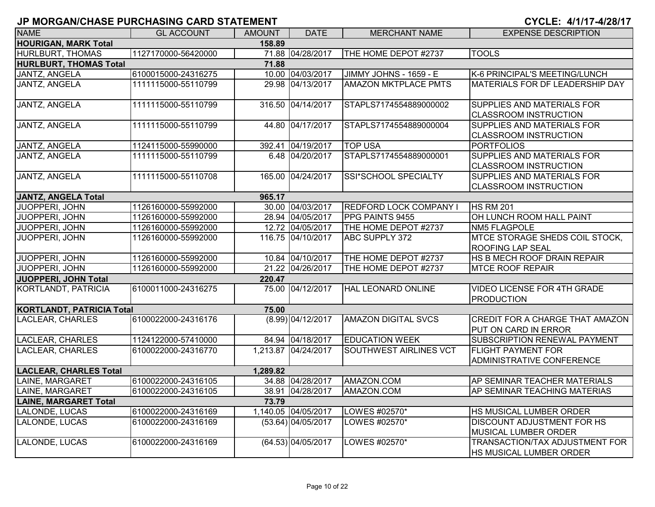| <b>NAME</b>                           | <b>GL ACCOUNT</b>   | <b>AMOUNT</b> | <b>DATE</b>          | <b>MERCHANT NAME</b>          | <b>EXPENSE DESCRIPTION</b>                                        |  |  |  |
|---------------------------------------|---------------------|---------------|----------------------|-------------------------------|-------------------------------------------------------------------|--|--|--|
| <b>HOURIGAN, MARK Total</b><br>158.89 |                     |               |                      |                               |                                                                   |  |  |  |
| <b>HURLBURT, THOMAS</b>               | 1127170000-56420000 |               | 71.88 04/28/2017     | THE HOME DEPOT #2737          | <b>TOOLS</b>                                                      |  |  |  |
| <b>HURLBURT, THOMAS Total</b>         |                     | 71.88         |                      |                               |                                                                   |  |  |  |
| <b>JANTZ, ANGELA</b>                  | 6100015000-24316275 |               | 10.00 04/03/2017     | JIMMY JOHNS - 1659 - E        | K-6 PRINCIPAL'S MEETING/LUNCH                                     |  |  |  |
| JANTZ, ANGELA                         | 1111115000-55110799 |               | 29.98 04/13/2017     | <b>AMAZON MKTPLACE PMTS</b>   | <b>MATERIALS FOR DF LEADERSHIP DAY</b>                            |  |  |  |
| <b>JANTZ, ANGELA</b>                  | 1111115000-55110799 |               | 316.50 04/14/2017    | STAPLS7174554889000002        | SUPPLIES AND MATERIALS FOR<br><b>CLASSROOM INSTRUCTION</b>        |  |  |  |
| JANTZ, ANGELA                         | 1111115000-55110799 |               | 44.80 04/17/2017     | STAPLS7174554889000004        | <b>SUPPLIES AND MATERIALS FOR</b><br><b>CLASSROOM INSTRUCTION</b> |  |  |  |
| JANTZ, ANGELA                         | 1124115000-55990000 |               | 392.41 04/19/2017    | <b>TOP USA</b>                | <b>PORTFOLIOS</b>                                                 |  |  |  |
| JANTZ, ANGELA                         | 1111115000-55110799 |               | 6.48 04/20/2017      | STAPLS7174554889000001        | SUPPLIES AND MATERIALS FOR<br><b>CLASSROOM INSTRUCTION</b>        |  |  |  |
| JANTZ, ANGELA                         | 1111115000-55110708 |               | 165.00 04/24/2017    | <b>SSI*SCHOOL SPECIALTY</b>   | <b>SUPPLIES AND MATERIALS FOR</b><br><b>CLASSROOM INSTRUCTION</b> |  |  |  |
| <b>JANTZ, ANGELA Total</b>            |                     | 965.17        |                      |                               |                                                                   |  |  |  |
| JUOPPERI, JOHN                        | 1126160000-55992000 |               | 30.00 04/03/2017     | <b>REDFORD LOCK COMPANY I</b> | <b>HS RM 201</b>                                                  |  |  |  |
| JUOPPERI, JOHN                        | 1126160000-55992000 |               | 28.94 04/05/2017     | <b>PPG PAINTS 9455</b>        | OH LUNCH ROOM HALL PAINT                                          |  |  |  |
| JUOPPERI, JOHN                        | 1126160000-55992000 |               | 12.72 04/05/2017     | THE HOME DEPOT #2737          | <b>NM5 FLAGPOLE</b>                                               |  |  |  |
| JUOPPERI, JOHN                        | 1126160000-55992000 |               | 116.75 04/10/2017    | <b>ABC SUPPLY 372</b>         | MTCE STORAGE SHEDS COIL STOCK,<br><b>ROOFING LAP SEAL</b>         |  |  |  |
| JUOPPERI, JOHN                        | 1126160000-55992000 |               | 10.84 04/10/2017     | THE HOME DEPOT #2737          | HS B MECH ROOF DRAIN REPAIR                                       |  |  |  |
| JUOPPERI, JOHN                        | 1126160000-55992000 |               | 21.22 04/26/2017     | THE HOME DEPOT #2737          | <b>MTCE ROOF REPAIR</b>                                           |  |  |  |
| <b>JUOPPERI, JOHN Total</b>           |                     | 220.47        |                      |                               |                                                                   |  |  |  |
| <b>KORTLANDT, PATRICIA</b>            | 6100011000-24316275 |               | 75.00 04/12/2017     | <b>HAL LEONARD ONLINE</b>     | <b>VIDEO LICENSE FOR 4TH GRADE</b><br><b>PRODUCTION</b>           |  |  |  |
| <b>KORTLANDT, PATRICIA Total</b>      |                     | 75.00         |                      |                               |                                                                   |  |  |  |
| <b>LACLEAR, CHARLES</b>               | 6100022000-24316176 |               | (8.99) 04/12/2017    | <b>AMAZON DIGITAL SVCS</b>    | CREDIT FOR A CHARGE THAT AMAZON<br>PUT ON CARD IN ERROR           |  |  |  |
| <b>LACLEAR, CHARLES</b>               | 1124122000-57410000 |               | 84.94 04/18/2017     | <b>EDUCATION WEEK</b>         | SUBSCRIPTION RENEWAL PAYMENT                                      |  |  |  |
| LACLEAR, CHARLES                      | 6100022000-24316770 |               | 1,213.87 04/24/2017  | SOUTHWEST AIRLINES VCT        | <b>FLIGHT PAYMENT FOR</b><br>ADMINISTRATIVE CONFERENCE            |  |  |  |
| <b>LACLEAR, CHARLES Total</b>         |                     | 1,289.82      |                      |                               |                                                                   |  |  |  |
| LAINE, MARGARET                       | 6100022000-24316105 |               | 34.88 04/28/2017     | AMAZON.COM                    | AP SEMINAR TEACHER MATERIALS                                      |  |  |  |
| LAINE, MARGARET                       | 6100022000-24316105 |               | 38.91 04/28/2017     | AMAZON.COM                    | AP SEMINAR TEACHING MATERIAS                                      |  |  |  |
| <b>LAINE, MARGARET Total</b>          |                     | 73.79         |                      |                               |                                                                   |  |  |  |
| LALONDE, LUCAS                        | 6100022000-24316169 |               | 1,140.05 04/05/2017  | LOWES #02570*                 | HS MUSICAL LUMBER ORDER                                           |  |  |  |
| LALONDE, LUCAS                        | 6100022000-24316169 |               | $(53.64)$ 04/05/2017 | LOWES #02570*                 | <b>DISCOUNT ADJUSTMENT FOR HS</b><br>MUSICAL LUMBER ORDER         |  |  |  |
| LALONDE, LUCAS                        | 6100022000-24316169 |               | (64.53) 04/05/2017   | LOWES #02570*                 | TRANSACTION/TAX ADJUSTMENT FOR<br>HS MUSICAL LUMBER ORDER         |  |  |  |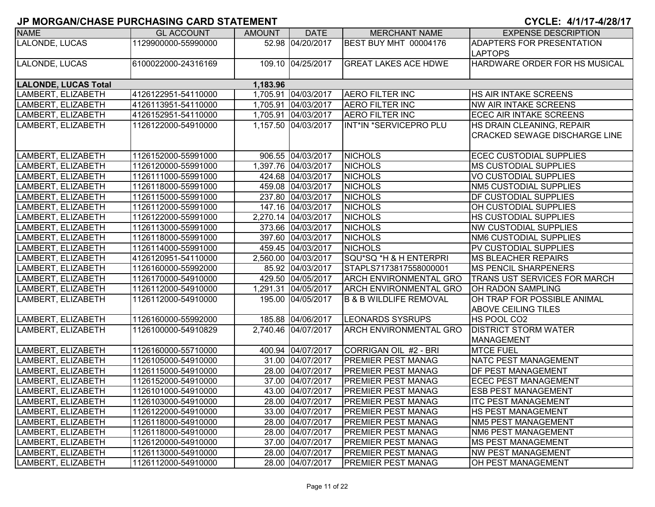| <b>NAME</b>                             | <b>GL ACCOUNT</b>   | <b>AMOUNT</b> | <b>DATE</b>         | <b>MERCHANT NAME</b>              | <b>EXPENSE DESCRIPTION</b>           |  |  |  |  |
|-----------------------------------------|---------------------|---------------|---------------------|-----------------------------------|--------------------------------------|--|--|--|--|
| LALONDE, LUCAS                          | 1129900000-55990000 |               | 52.98 04/20/2017    | BEST BUY MHT 00004176             | <b>ADAPTERS FOR PRESENTATION</b>     |  |  |  |  |
|                                         |                     |               |                     |                                   | <b>LAPTOPS</b>                       |  |  |  |  |
| LALONDE, LUCAS                          | 6100022000-24316169 |               | 109.10 04/25/2017   | <b>GREAT LAKES ACE HDWE</b>       | HARDWARE ORDER FOR HS MUSICAL        |  |  |  |  |
|                                         |                     |               |                     |                                   |                                      |  |  |  |  |
| <b>LALONDE, LUCAS Total</b><br>1,183.96 |                     |               |                     |                                   |                                      |  |  |  |  |
| LAMBERT, ELIZABETH                      | 4126122951-54110000 |               | 1,705.91 04/03/2017 | <b>AERO FILTER INC</b>            | <b>HS AIR INTAKE SCREENS</b>         |  |  |  |  |
| LAMBERT, ELIZABETH                      | 4126113951-54110000 |               | 1,705.91 04/03/2017 | <b>AERO FILTER INC</b>            | <b>NW AIR INTAKE SCREENS</b>         |  |  |  |  |
| LAMBERT, ELIZABETH                      | 4126152951-54110000 |               | 1,705.91 04/03/2017 | <b>AERO FILTER INC</b>            | <b>ECEC AIR INTAKE SCREENS</b>       |  |  |  |  |
| LAMBERT, ELIZABETH                      | 1126122000-54910000 |               | 1,157.50 04/03/2017 | INT*IN *SERVICEPRO PLU            | HS DRAIN CLEANING, REPAIR            |  |  |  |  |
|                                         |                     |               |                     |                                   | <b>CRACKED SEWAGE DISCHARGE LINE</b> |  |  |  |  |
|                                         |                     |               |                     |                                   |                                      |  |  |  |  |
| LAMBERT, ELIZABETH                      | 1126152000-55991000 |               | 906.55 04/03/2017   | <b>NICHOLS</b>                    | <b>ECEC CUSTODIAL SUPPLIES</b>       |  |  |  |  |
| LAMBERT, ELIZABETH                      | 1126120000-55991000 |               | 1,397.76 04/03/2017 | <b>NICHOLS</b>                    | <b>IMS CUSTODIAL SUPPLIES</b>        |  |  |  |  |
| LAMBERT, ELIZABETH                      | 1126111000-55991000 |               | 424.68 04/03/2017   | <b>NICHOLS</b>                    | <b>VO CUSTODIAL SUPPLIES</b>         |  |  |  |  |
| LAMBERT, ELIZABETH                      | 1126118000-55991000 |               | 459.08 04/03/2017   | <b>NICHOLS</b>                    | NM5 CUSTODIAL SUPPLIES               |  |  |  |  |
| LAMBERT, ELIZABETH                      | 1126115000-55991000 |               | 237.80 04/03/2017   | <b>NICHOLS</b>                    | <b>DF CUSTODIAL SUPPLIES</b>         |  |  |  |  |
| LAMBERT, ELIZABETH                      | 1126112000-55991000 |               | 147.16 04/03/2017   | <b>NICHOLS</b>                    | OH CUSTODIAL SUPPLIES                |  |  |  |  |
| LAMBERT, ELIZABETH                      | 1126122000-55991000 |               | 2,270.14 04/03/2017 | <b>NICHOLS</b>                    | <b>HS CUSTODIAL SUPPLIES</b>         |  |  |  |  |
| LAMBERT, ELIZABETH                      | 1126113000-55991000 |               | 373.66 04/03/2017   | <b>NICHOLS</b>                    | <b>NW CUSTODIAL SUPPLIES</b>         |  |  |  |  |
| LAMBERT, ELIZABETH                      | 1126118000-55991000 |               | 397.60 04/03/2017   | <b>NICHOLS</b>                    | <b>NM6 CUSTODIAL SUPPLIES</b>        |  |  |  |  |
| LAMBERT, ELIZABETH                      | 1126114000-55991000 |               | 459.45 04/03/2017   | <b>NICHOLS</b>                    | <b>PV CUSTODIAL SUPPLIES</b>         |  |  |  |  |
| LAMBERT, ELIZABETH                      | 4126120951-54110000 |               | 2,560.00 04/03/2017 | SQU*SQ *H & H ENTERPRI            | <b>MS BLEACHER REPAIRS</b>           |  |  |  |  |
| LAMBERT, ELIZABETH                      | 1126160000-55992000 |               | 85.92 04/03/2017    | STAPLS7173817558000001            | <b>MS PENCIL SHARPENERS</b>          |  |  |  |  |
| LAMBERT, ELIZABETH                      | 1126170000-54910000 |               | 429.50 04/05/2017   | <b>ARCH ENVIRONMENTAL GRO</b>     | <b>TRANS UST SERVICES FOR MARCH</b>  |  |  |  |  |
| LAMBERT, ELIZABETH                      | 1126112000-54910000 |               | 1,291.31 04/05/2017 | <b>ARCH ENVIRONMENTAL GRO</b>     | OH RADON SAMPLING                    |  |  |  |  |
| LAMBERT, ELIZABETH                      | 1126112000-54910000 |               | 195.00 04/05/2017   | <b>B &amp; B WILDLIFE REMOVAL</b> | OH TRAP FOR POSSIBLE ANIMAL          |  |  |  |  |
|                                         |                     |               |                     |                                   | <b>ABOVE CEILING TILES</b>           |  |  |  |  |
| LAMBERT, ELIZABETH                      | 1126160000-55992000 |               | 185.88 04/06/2017   | <b>LEONARDS SYSRUPS</b>           | HS POOL CO2                          |  |  |  |  |
| LAMBERT, ELIZABETH                      | 1126100000-54910829 |               | 2,740.46 04/07/2017 | <b>ARCH ENVIRONMENTAL GRO</b>     | <b>DISTRICT STORM WATER</b>          |  |  |  |  |
|                                         |                     |               |                     |                                   | MANAGEMENT                           |  |  |  |  |
| LAMBERT, ELIZABETH                      | 1126160000-55710000 |               | 400.94 04/07/2017   | CORRIGAN OIL #2 - BRI             | <b>MTCE FUEL</b>                     |  |  |  |  |
| LAMBERT, ELIZABETH                      | 1126105000-54910000 |               | 31.00 04/07/2017    | <b>PREMIER PEST MANAG</b>         | <b>NATC PEST MANAGEMENT</b>          |  |  |  |  |
| LAMBERT, ELIZABETH                      | 1126115000-54910000 |               | 28.00 04/07/2017    | <b>PREMIER PEST MANAG</b>         | <b>DF PEST MANAGEMENT</b>            |  |  |  |  |
| LAMBERT, ELIZABETH                      | 1126152000-54910000 |               | 37.00 04/07/2017    | <b>PREMIER PEST MANAG</b>         | <b>ECEC PEST MANAGEMENT</b>          |  |  |  |  |
| LAMBERT, ELIZABETH                      | 1126101000-54910000 |               | 43.00 04/07/2017    | <b>PREMIER PEST MANAG</b>         | <b>ESB PEST MANAGEMENT</b>           |  |  |  |  |
| LAMBERT, ELIZABETH                      | 1126103000-54910000 |               | 28.00 04/07/2017    | <b>PREMIER PEST MANAG</b>         | <b>ITC PEST MANAGEMENT</b>           |  |  |  |  |
| LAMBERT, ELIZABETH                      | 1126122000-54910000 |               | 33.00 04/07/2017    | <b>PREMIER PEST MANAG</b>         | <b>HS PEST MANAGEMENT</b>            |  |  |  |  |
| LAMBERT, ELIZABETH                      | 1126118000-54910000 |               | 28.00 04/07/2017    | <b>PREMIER PEST MANAG</b>         | NM5 PEST MANAGEMENT                  |  |  |  |  |
| LAMBERT, ELIZABETH                      | 1126118000-54910000 |               | 28.00 04/07/2017    | <b>PREMIER PEST MANAG</b>         | NM6 PEST MANAGEMENT                  |  |  |  |  |
| LAMBERT, ELIZABETH                      | 1126120000-54910000 |               | 37.00 04/07/2017    | <b>PREMIER PEST MANAG</b>         | <b>MS PEST MANAGEMENT</b>            |  |  |  |  |
| LAMBERT, ELIZABETH                      | 1126113000-54910000 |               | 28.00 04/07/2017    | <b>PREMIER PEST MANAG</b>         | <b>NW PEST MANAGEMENT</b>            |  |  |  |  |
| LAMBERT, ELIZABETH                      | 1126112000-54910000 |               | 28.00 04/07/2017    | <b>PREMIER PEST MANAG</b>         | OH PEST MANAGEMENT                   |  |  |  |  |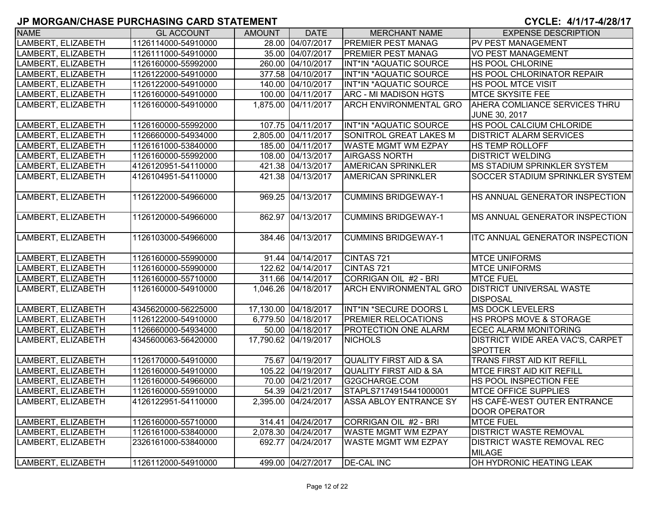| <b>NAME</b>        | <b>GL ACCOUNT</b>   | <b>AMOUNT</b> | <b>DATE</b>          | <b>MERCHANT NAME</b>          | <b>EXPENSE DESCRIPTION</b>             |
|--------------------|---------------------|---------------|----------------------|-------------------------------|----------------------------------------|
| LAMBERT, ELIZABETH | 1126114000-54910000 |               | 28.00 04/07/2017     | <b>PREMIER PEST MANAG</b>     | PV PEST MANAGEMENT                     |
| LAMBERT, ELIZABETH | 1126111000-54910000 |               | 35.00 04/07/2017     | <b>PREMIER PEST MANAG</b>     | <b>VO PEST MANAGEMENT</b>              |
| LAMBERT, ELIZABETH | 1126160000-55992000 |               | 260.00 04/10/2017    | INT*IN *AQUATIC SOURCE        | <b>HS POOL CHLORINE</b>                |
| LAMBERT, ELIZABETH | 1126122000-54910000 |               | 377.58 04/10/2017    | INT*IN *AQUATIC SOURCE        | <b>HS POOL CHLORINATOR REPAIR</b>      |
| LAMBERT, ELIZABETH | 1126122000-54910000 |               | 140.00 04/10/2017    | INT*IN *AQUATIC SOURCE        | <b>HS POOL MTCE VISIT</b>              |
| LAMBERT, ELIZABETH | 1126160000-54910000 |               | 100.00 04/11/2017    | <b>ARC - MI MADISON HGTS</b>  | <b>MTCE SKYSITE FEE</b>                |
| LAMBERT, ELIZABETH | 1126160000-54910000 |               | 1,875.00 04/11/2017  | <b>ARCH ENVIRONMENTAL GRO</b> | <b>AHERA COMLIANCE SERVICES THRU</b>   |
|                    |                     |               |                      |                               | <b>JUNE 30, 2017</b>                   |
| LAMBERT, ELIZABETH | 1126160000-55992000 |               | 107.75 04/11/2017    | INT*IN *AQUATIC SOURCE        | HS POOL CALCIUM CHLORIDE               |
| LAMBERT, ELIZABETH | 1126660000-54934000 |               | 2,805.00 04/11/2017  | SONITROL GREAT LAKES M        | <b>DISTRICT ALARM SERVICES</b>         |
| LAMBERT, ELIZABETH | 1126161000-53840000 |               | 185.00 04/11/2017    | <b>WASTE MGMT WM EZPAY</b>    | <b>HS TEMP ROLLOFF</b>                 |
| LAMBERT, ELIZABETH | 1126160000-55992000 |               | 108.00 04/13/2017    | <b>AIRGASS NORTH</b>          | <b>DISTRICT WELDING</b>                |
| LAMBERT, ELIZABETH | 4126120951-54110000 |               | 421.38 04/13/2017    | <b>AMERICAN SPRINKLER</b>     | MS STADIUM SPRINKLER SYSTEM            |
| LAMBERT, ELIZABETH | 4126104951-54110000 |               | 421.38 04/13/2017    | <b>AMERICAN SPRINKLER</b>     | SOCCER STADIUM SPRINKLER SYSTEM        |
|                    |                     |               |                      |                               |                                        |
| LAMBERT, ELIZABETH | 1126122000-54966000 |               | 969.25 04/13/2017    | <b>CUMMINS BRIDGEWAY-1</b>    | HS ANNUAL GENERATOR INSPECTION         |
|                    |                     |               |                      |                               |                                        |
| LAMBERT, ELIZABETH | 1126120000-54966000 |               | 862.97 04/13/2017    | <b>CUMMINS BRIDGEWAY-1</b>    | <b>IMS ANNUAL GENERATOR INSPECTION</b> |
|                    |                     |               |                      |                               |                                        |
| LAMBERT, ELIZABETH | 1126103000-54966000 |               | 384.46 04/13/2017    | <b>CUMMINS BRIDGEWAY-1</b>    | <b>ITC ANNUAL GENERATOR INSPECTION</b> |
|                    |                     |               |                      |                               |                                        |
| LAMBERT, ELIZABETH | 1126160000-55990000 |               | 91.44 04/14/2017     | CINTAS <sub>721</sub>         | <b>MTCE UNIFORMS</b>                   |
| LAMBERT, ELIZABETH | 1126160000-55990000 |               | 122.62 04/14/2017    | CINTAS <sub>721</sub>         | <b>MTCE UNIFORMS</b>                   |
| LAMBERT, ELIZABETH | 1126160000-55710000 |               | 311.66 04/14/2017    | CORRIGAN OIL #2 - BRI         | <b>MTCE FUEL</b>                       |
| LAMBERT, ELIZABETH | 1126160000-54910000 |               | 1,046.26 04/18/2017  | <b>ARCH ENVIRONMENTAL GRO</b> | <b>DISTRICT UNIVERSAL WASTE</b>        |
|                    |                     |               |                      |                               | <b>DISPOSAL</b>                        |
| LAMBERT, ELIZABETH | 4345620000-56225000 |               | 17,130.00 04/18/2017 | INT*IN *SECURE DOORS L        | <b>MS DOCK LEVELERS</b>                |
| LAMBERT, ELIZABETH | 1126122000-54910000 |               | 6,779.50 04/18/2017  | <b>PREMIER RELOCATIONS</b>    | HS PROPS MOVE & STORAGE                |
| LAMBERT, ELIZABETH | 1126660000-54934000 |               | 50.00 04/18/2017     | <b>PROTECTION ONE ALARM</b>   | ECEC ALARM MONITORING                  |
| LAMBERT, ELIZABETH | 4345600063-56420000 |               | 17,790.62 04/19/2017 | <b>NICHOLS</b>                | DISTRICT WIDE AREA VAC'S, CARPET       |
|                    |                     |               |                      |                               | <b>SPOTTER</b>                         |
| LAMBERT, ELIZABETH | 1126170000-54910000 |               | 75.67 04/19/2017     | QUALITY FIRST AID & SA        | TRANS FIRST AID KIT REFILL             |
| LAMBERT, ELIZABETH | 1126160000-54910000 |               | 105.22 04/19/2017    | QUALITY FIRST AID & SA        | <b>MTCE FIRST AID KIT REFILL</b>       |
| LAMBERT, ELIZABETH | 1126160000-54966000 |               | 70.00 04/21/2017     | G2GCHARGE.COM                 | HS POOL INSPECTION FEE                 |
| LAMBERT, ELIZABETH | 1126160000-55910000 |               | 54.39 04/21/2017     | STAPLS7174915441000001        | <b>MTCE OFFICE SUPPLIES</b>            |
| LAMBERT, ELIZABETH | 4126122951-54110000 |               | 2,395.00 04/24/2017  | <b>ASSA ABLOY ENTRANCE SY</b> | <b>IHS CAFÉ-WEST OUTER ENTRANCE</b>    |
|                    |                     |               |                      |                               | <b>DOOR OPERATOR</b>                   |
| LAMBERT, ELIZABETH | 1126160000-55710000 |               | 314.41 04/24/2017    | CORRIGAN OIL #2 - BRI         | <b>MTCE FUEL</b>                       |
| LAMBERT, ELIZABETH | 1126161000-53840000 |               | 2,078.30 04/24/2017  | <b>WASTE MGMT WM EZPAY</b>    | <b>DISTRICT WASTE REMOVAL</b>          |
| LAMBERT, ELIZABETH | 2326161000-53840000 |               | 692.77 04/24/2017    | <b>WASTE MGMT WM EZPAY</b>    | <b>DISTRICT WASTE REMOVAL REC</b>      |
|                    |                     |               |                      |                               | <b>MILAGE</b>                          |
| LAMBERT, ELIZABETH | 1126112000-54910000 |               | 499.00 04/27/2017    | <b>DE-CAL INC</b>             | OH HYDRONIC HEATING LEAK               |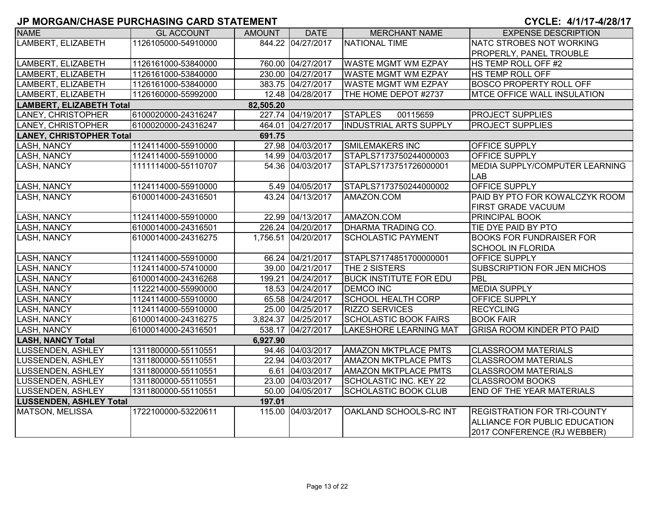| <b>NAME</b>                     | <b>GL ACCOUNT</b>   | <b>AMOUNT</b> | <b>DATE</b>         | <b>MERCHANT NAME</b>          | <b>EXPENSE DESCRIPTION</b>                   |
|---------------------------------|---------------------|---------------|---------------------|-------------------------------|----------------------------------------------|
| LAMBERT, ELIZABETH              | 1126105000-54910000 |               | 844.22 04/27/2017   | NATIONAL TIME                 | NATC STROBES NOT WORKING                     |
|                                 |                     |               |                     |                               | <b>PROPERLY, PANEL TROUBLE</b>               |
| LAMBERT, ELIZABETH              | 1126161000-53840000 |               | 760.00 04/27/2017   | <b>WASTE MGMT WM EZPAY</b>    | HS TEMP ROLL OFF #2                          |
| LAMBERT, ELIZABETH              | 1126161000-53840000 |               | 230.00 04/27/2017   | <b>WASTE MGMT WM EZPAY</b>    | <b>HS TEMP ROLL OFF</b>                      |
| LAMBERT, ELIZABETH              | 1126161000-53840000 |               | 383.75 04/27/2017   | <b>WASTE MGMT WM EZPAY</b>    | <b>BOSCO PROPERTY ROLL OFF</b>               |
| LAMBERT, ELIZABETH              | 1126160000-55992000 |               | 12.48 04/28/2017    | THE HOME DEPOT #2737          | <b>MTCE OFFICE WALL INSULATION</b>           |
| <b>LAMBERT, ELIZABETH Total</b> |                     | 82,505.20     |                     |                               |                                              |
| LANEY, CHRISTOPHER              | 6100020000-24316247 |               | 227.74 04/19/2017   | <b>STAPLES</b><br>00115659    | <b>PROJECT SUPPLIES</b>                      |
| LANEY, CHRISTOPHER              | 6100020000-24316247 |               | 464.01 04/27/2017   | <b>INDUSTRIAL ARTS SUPPLY</b> | <b>PROJECT SUPPLIES</b>                      |
| <b>LANEY, CHRISTOPHER Total</b> |                     | 691.75        |                     |                               |                                              |
| LASH, NANCY                     | 1124114000-55910000 |               | 27.98 04/03/2017    | <b>SMILEMAKERS INC</b>        | <b>OFFICE SUPPLY</b>                         |
| <b>LASH, NANCY</b>              | 1124114000-55910000 |               | 14.99 04/03/2017    | STAPLS7173750244000003        | <b>OFFICE SUPPLY</b>                         |
| LASH, NANCY                     | 1111114000-55110707 |               | 54.36 04/03/2017    | STAPLS7173751726000001        | MEDIA SUPPLY/COMPUTER LEARNING<br><b>LAB</b> |
| <b>LASH, NANCY</b>              | 1124114000-55910000 |               | 5.49 04/05/2017     | STAPLS7173750244000002        | <b>OFFICE SUPPLY</b>                         |
| LASH, NANCY                     | 6100014000-24316501 |               | 43.24 04/13/2017    | AMAZON.COM                    | PAID BY PTO FOR KOWALCZYK ROOM               |
|                                 |                     |               |                     |                               | <b>FIRST GRADE VACUUM</b>                    |
| <b>LASH, NANCY</b>              | 1124114000-55910000 |               | 22.99 04/13/2017    | AMAZON.COM                    | <b>PRINCIPAL BOOK</b>                        |
| <b>LASH, NANCY</b>              | 6100014000-24316501 |               | 226.24 04/20/2017   | DHARMA TRADING CO.            | TIE DYE PAID BY PTO                          |
| LASH, NANCY                     | 6100014000-24316275 |               | 1,756.51 04/20/2017 | <b>SCHOLASTIC PAYMENT</b>     | <b>BOOKS FOR FUNDRAISER FOR</b>              |
|                                 |                     |               |                     |                               | <b>SCHOOL IN FLORIDA</b>                     |
| LASH, NANCY                     | 1124114000-55910000 |               | 66.24 04/21/2017    | STAPLS7174851700000001        | OFFICE SUPPLY                                |
| LASH, NANCY                     | 1124114000-57410000 |               | 39.00 04/21/2017    | THE 2 SISTERS                 | <b>SUBSCRIPTION FOR JEN MICHOS</b>           |
| <b>LASH, NANCY</b>              | 6100014000-24316268 |               | 199.21 04/24/2017   | <b>BUCK INSTITUTE FOR EDU</b> | PBL                                          |
| <b>LASH, NANCY</b>              | 1122214000-55990000 |               | 18.53 04/24/2017    | <b>DEMCO INC</b>              | <b>MEDIA SUPPLY</b>                          |
| <b>LASH, NANCY</b>              | 1124114000-55910000 |               | 65.58 04/24/2017    | <b>SCHOOL HEALTH CORP</b>     | <b>OFFICE SUPPLY</b>                         |
| <b>LASH, NANCY</b>              | 1124114000-55910000 |               | 25.00 04/25/2017    | <b>RIZZO SERVICES</b>         | <b>RECYCLING</b>                             |
| <b>LASH, NANCY</b>              | 6100014000-24316275 |               | 3,824.37 04/25/2017 | <b>SCHOLASTIC BOOK FAIRS</b>  | <b>BOOK FAIR</b>                             |
| LASH, NANCY                     | 6100014000-24316501 |               | 538.17 04/27/2017   | <b>LAKESHORE LEARNING MAT</b> | <b>GRISA ROOM KINDER PTO PAID</b>            |
| <b>LASH, NANCY Total</b>        |                     | 6,927.90      |                     |                               |                                              |
| LUSSENDEN, ASHLEY               | 1311800000-55110551 |               | 94.46 04/03/2017    | <b>AMAZON MKTPLACE PMTS</b>   | <b>CLASSROOM MATERIALS</b>                   |
| LUSSENDEN, ASHLEY               | 1311800000-55110551 |               | 22.94 04/03/2017    | <b>AMAZON MKTPLACE PMTS</b>   | <b>CLASSROOM MATERIALS</b>                   |
| LUSSENDEN, ASHLEY               | 1311800000-55110551 |               | 6.61 04/03/2017     | <b>AMAZON MKTPLACE PMTS</b>   | <b>CLASSROOM MATERIALS</b>                   |
| LUSSENDEN, ASHLEY               | 1311800000-55110551 |               | 23.00 04/03/2017    | SCHOLASTIC INC. KEY 22        | <b>CLASSROOM BOOKS</b>                       |
| LUSSENDEN, ASHLEY               | 1311800000-55110551 |               | 50.00 04/05/2017    | <b>SCHOLASTIC BOOK CLUB</b>   | <b>END OF THE YEAR MATERIALS</b>             |
| <b>LUSSENDEN, ASHLEY Total</b>  |                     | 197.01        |                     |                               |                                              |
| MATSON, MELISSA                 | 1722100000-53220611 |               | 115.00 04/03/2017   | OAKLAND SCHOOLS-RC INT        | <b>REGISTRATION FOR TRI-COUNTY</b>           |
|                                 |                     |               |                     |                               | ALLIANCE FOR PUBLIC EDUCATION                |
|                                 |                     |               |                     |                               | 2017 CONFERENCE (RJ WEBBER)                  |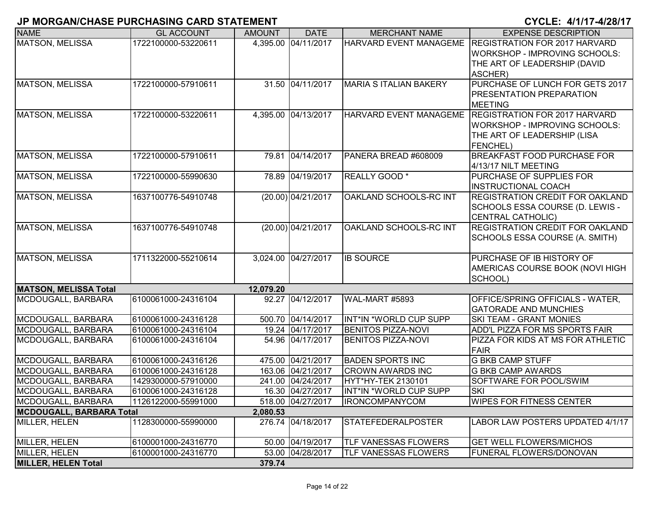| <b>NAME</b>                     | <b>GL ACCOUNT</b>   | <b>AMOUNT</b> | <b>DATE</b>         | <b>MERCHANT NAME</b>          | <b>EXPENSE DESCRIPTION</b>                                                                                              |
|---------------------------------|---------------------|---------------|---------------------|-------------------------------|-------------------------------------------------------------------------------------------------------------------------|
| <b>MATSON, MELISSA</b>          | 1722100000-53220611 |               | 4,395.00 04/11/2017 | <b>HARVARD EVENT MANAGEME</b> | <b>REGISTRATION FOR 2017 HARVARD</b><br>WORKSHOP - IMPROVING SCHOOLS:<br>THE ART OF LEADERSHIP (DAVID<br>ASCHER)        |
| <b>MATSON, MELISSA</b>          | 1722100000-57910611 |               | 31.50 04/11/2017    | <b>MARIA S ITALIAN BAKERY</b> | PURCHASE OF LUNCH FOR GETS 2017<br><b>PRESENTATION PREPARATION</b><br><b>MEETING</b>                                    |
| MATSON, MELISSA                 | 1722100000-53220611 |               | 4,395.00 04/13/2017 | <b>HARVARD EVENT MANAGEME</b> | <b>REGISTRATION FOR 2017 HARVARD</b><br>WORKSHOP - IMPROVING SCHOOLS:<br>THE ART OF LEADERSHIP (LISA<br><b>FENCHEL)</b> |
| MATSON, MELISSA                 | 1722100000-57910611 |               | 79.81 04/14/2017    | PANERA BREAD #608009          | <b>BREAKFAST FOOD PURCHASE FOR</b><br>4/13/17 NILT MEETING                                                              |
| MATSON, MELISSA                 | 1722100000-55990630 |               | 78.89 04/19/2017    | REALLY GOOD <sup>*</sup>      | <b>PURCHASE OF SUPPLIES FOR</b><br><b>INSTRUCTIONAL COACH</b>                                                           |
| MATSON, MELISSA                 | 1637100776-54910748 |               | (20.00) 04/21/2017  | OAKLAND SCHOOLS-RC INT        | <b>REGISTRATION CREDIT FOR OAKLAND</b><br>SCHOOLS ESSA COURSE (D. LEWIS -<br>CENTRAL CATHOLIC)                          |
| <b>MATSON, MELISSA</b>          | 1637100776-54910748 |               | (20.00) 04/21/2017  | OAKLAND SCHOOLS-RC INT        | <b>REGISTRATION CREDIT FOR OAKLAND</b><br>SCHOOLS ESSA COURSE (A. SMITH)                                                |
| <b>MATSON, MELISSA</b>          | 1711322000-55210614 |               | 3,024.00 04/27/2017 | <b>IB SOURCE</b>              | PURCHASE OF IB HISTORY OF<br>AMERICAS COURSE BOOK (NOVI HIGH<br>SCHOOL)                                                 |
| <b>MATSON, MELISSA Total</b>    |                     | 12,079.20     |                     |                               |                                                                                                                         |
| MCDOUGALL, BARBARA              | 6100061000-24316104 |               | 92.27 04/12/2017    | WAL-MART #5893                | OFFICE/SPRING OFFICIALS - WATER,<br><b>GATORADE AND MUNCHIES</b>                                                        |
| MCDOUGALL, BARBARA              | 6100061000-24316128 |               | 500.70 04/14/2017   | INT*IN *WORLD CUP SUPP        | <b>SKI TEAM - GRANT MONIES</b>                                                                                          |
| MCDOUGALL, BARBARA              | 6100061000-24316104 |               | 19.24 04/17/2017    | <b>BENITOS PIZZA-NOVI</b>     | ADD'L PIZZA FOR MS SPORTS FAIR                                                                                          |
| MCDOUGALL, BARBARA              | 6100061000-24316104 |               | 54.96 04/17/2017    | <b>BENITOS PIZZA-NOVI</b>     | PIZZA FOR KIDS AT MS FOR ATHLETIC<br><b>FAIR</b>                                                                        |
| MCDOUGALL, BARBARA              | 6100061000-24316126 |               | 475.00 04/21/2017   | <b>BADEN SPORTS INC</b>       | <b>G BKB CAMP STUFF</b>                                                                                                 |
| MCDOUGALL, BARBARA              | 6100061000-24316128 |               | 163.06 04/21/2017   | <b>CROWN AWARDS INC</b>       | <b>G BKB CAMP AWARDS</b>                                                                                                |
| MCDOUGALL, BARBARA              | 1429300000-57910000 |               | 241.00 04/24/2017   | HYT*HY-TEK 2130101            | SOFTWARE FOR POOL/SWIM                                                                                                  |
| MCDOUGALL, BARBARA              | 6100061000-24316128 |               | 16.30 04/27/2017    | INT*IN *WORLD CUP SUPP        | <b>SKI</b>                                                                                                              |
| MCDOUGALL, BARBARA              | 1126122000-55991000 |               | 518.00 04/27/2017   | <b>IRONCOMPANYCOM</b>         | <b>WIPES FOR FITNESS CENTER</b>                                                                                         |
| <b>MCDOUGALL, BARBARA Total</b> |                     | 2,080.53      |                     |                               |                                                                                                                         |
| MILLER, HELEN                   | 1128300000-55990000 |               | 276.74 04/18/2017   | <b>STATEFEDERALPOSTER</b>     | LABOR LAW POSTERS UPDATED 4/1/17                                                                                        |
| MILLER, HELEN                   | 6100001000-24316770 |               | 50.00 04/19/2017    | <b>TLF VANESSAS FLOWERS</b>   | <b>GET WELL FLOWERS/MICHOS</b>                                                                                          |
| MILLER, HELEN                   | 6100001000-24316770 |               | 53.00 04/28/2017    | <b>TLF VANESSAS FLOWERS</b>   | <b>FUNERAL FLOWERS/DONOVAN</b>                                                                                          |
| <b>MILLER, HELEN Total</b>      |                     | 379.74        |                     |                               |                                                                                                                         |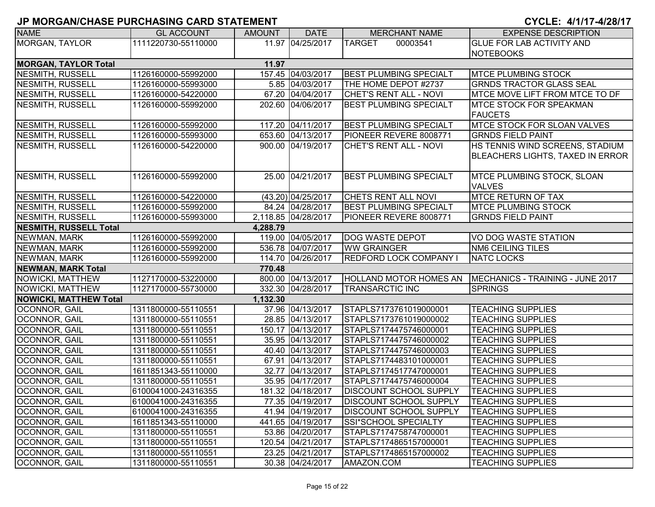| <b>NAME</b>                   | <b>GL ACCOUNT</b>   | <b>AMOUNT</b> | <b>DATE</b>         | <b>MERCHANT NAME</b>          | <b>EXPENSE DESCRIPTION</b>                                          |  |  |  |  |
|-------------------------------|---------------------|---------------|---------------------|-------------------------------|---------------------------------------------------------------------|--|--|--|--|
| <b>MORGAN, TAYLOR</b>         | 1111220730-55110000 |               | 11.97 04/25/2017    | <b>TARGET</b><br>00003541     | <b>GLUE FOR LAB ACTIVITY AND</b>                                    |  |  |  |  |
|                               |                     |               |                     |                               | <b>NOTEBOOKS</b>                                                    |  |  |  |  |
| <b>MORGAN, TAYLOR Total</b>   |                     | 11.97         |                     |                               |                                                                     |  |  |  |  |
| NESMITH, RUSSELL              | 1126160000-55992000 |               | 157.45 04/03/2017   | <b>BEST PLUMBING SPECIALT</b> | <b>MTCE PLUMBING STOCK</b>                                          |  |  |  |  |
| <b>NESMITH, RUSSELL</b>       | 1126160000-55993000 |               | 5.85 04/03/2017     | THE HOME DEPOT #2737          | <b>GRNDS TRACTOR GLASS SEAL</b>                                     |  |  |  |  |
| <b>NESMITH, RUSSELL</b>       | 1126160000-54220000 |               | 67.20 04/04/2017    | CHET'S RENT ALL - NOVI        | MTCE MOVE LIFT FROM MTCE TO DF                                      |  |  |  |  |
| <b>NESMITH, RUSSELL</b>       | 1126160000-55992000 |               | 202.60 04/06/2017   | <b>BEST PLUMBING SPECIALT</b> | <b>IMTCE STOCK FOR SPEAKMAN</b><br><b>FAUCETS</b>                   |  |  |  |  |
| NESMITH, RUSSELL              | 1126160000-55992000 |               | 117.20 04/11/2017   | <b>BEST PLUMBING SPECIALT</b> | <b>MTCE STOCK FOR SLOAN VALVES</b>                                  |  |  |  |  |
| <b>NESMITH, RUSSELL</b>       | 1126160000-55993000 |               | 653.60 04/13/2017   | PIONEER REVERE 8008771        | <b>GRNDS FIELD PAINT</b>                                            |  |  |  |  |
| NESMITH, RUSSELL              | 1126160000-54220000 |               | 900.00 04/19/2017   | CHET'S RENT ALL - NOVI        | HS TENNIS WIND SCREENS, STADIUM<br>BLEACHERS LIGHTS, TAXED IN ERROR |  |  |  |  |
| NESMITH, RUSSELL              | 1126160000-55992000 |               | 25.00 04/21/2017    | <b>BEST PLUMBING SPECIALT</b> | MTCE PLUMBING STOCK, SLOAN<br><b>VALVES</b>                         |  |  |  |  |
| NESMITH, RUSSELL              | 1126160000-54220000 |               | (43.20) 04/25/2017  | CHETS RENT ALL NOVI           | <b>MTCE RETURN OF TAX</b>                                           |  |  |  |  |
| NESMITH, RUSSELL              | 1126160000-55992000 |               | 84.24 04/28/2017    | <b>BEST PLUMBING SPECIALT</b> | <b>MTCE PLUMBING STOCK</b>                                          |  |  |  |  |
| NESMITH, RUSSELL              | 1126160000-55993000 |               | 2,118.85 04/28/2017 | PIONEER REVERE 8008771        | <b>GRNDS FIELD PAINT</b>                                            |  |  |  |  |
| <b>NESMITH, RUSSELL Total</b> | 4,288.79            |               |                     |                               |                                                                     |  |  |  |  |
| NEWMAN, MARK                  | 1126160000-55992000 |               | 119.00 04/05/2017   | <b>DOG WASTE DEPOT</b>        | VO DOG WASTE STATION                                                |  |  |  |  |
| NEWMAN, MARK                  | 1126160000-55992000 |               | 536.78 04/07/2017   | <b>WW GRAINGER</b>            | <b>NM6 CEILING TILES</b>                                            |  |  |  |  |
| NEWMAN, MARK                  | 1126160000-55992000 |               | 114.70 04/26/2017   | <b>REDFORD LOCK COMPANY I</b> | <b>NATC LOCKS</b>                                                   |  |  |  |  |
| <b>NEWMAN, MARK Total</b>     |                     | 770.48        |                     |                               |                                                                     |  |  |  |  |
| NOWICKI, MATTHEW              | 1127170000-53220000 |               | 800.00 04/13/2017   | <b>HOLLAND MOTOR HOMES AN</b> | MECHANICS - TRAINING - JUNE 2017                                    |  |  |  |  |
| NOWICKI, MATTHEW              | 1127170000-55730000 |               | 332.30 04/28/2017   | <b>TRANSARCTIC INC</b>        | <b>SPRINGS</b>                                                      |  |  |  |  |
| <b>NOWICKI, MATTHEW Total</b> |                     | 1,132.30      |                     |                               |                                                                     |  |  |  |  |
| <b>OCONNOR, GAIL</b>          | 1311800000-55110551 |               | 37.96 04/13/2017    | STAPLS7173761019000001        | <b>TEACHING SUPPLIES</b>                                            |  |  |  |  |
| OCONNOR, GAIL                 | 1311800000-55110551 |               | 28.85 04/13/2017    | STAPLS7173761019000002        | <b>TEACHING SUPPLIES</b>                                            |  |  |  |  |
| OCONNOR, GAIL                 | 1311800000-55110551 |               | 150.17 04/13/2017   | STAPLS7174475746000001        | <b>TEACHING SUPPLIES</b>                                            |  |  |  |  |
| OCONNOR, GAIL                 | 1311800000-55110551 |               | 35.95 04/13/2017    | STAPLS7174475746000002        | <b>TEACHING SUPPLIES</b>                                            |  |  |  |  |
| OCONNOR, GAIL                 | 1311800000-55110551 |               | 40.40 04/13/2017    | STAPLS7174475746000003        | <b>TEACHING SUPPLIES</b>                                            |  |  |  |  |
| OCONNOR, GAIL                 | 1311800000-55110551 |               | 67.91 04/13/2017    | STAPLS7174483101000001        | <b>TEACHING SUPPLIES</b>                                            |  |  |  |  |
| <b>OCONNOR, GAIL</b>          | 1611851343-55110000 |               | 32.77 04/13/2017    | STAPLS7174517747000001        | <b>TEACHING SUPPLIES</b>                                            |  |  |  |  |
| OCONNOR, GAIL                 | 1311800000-55110551 |               | 35.95 04/17/2017    | STAPLS7174475746000004        | <b>TEACHING SUPPLIES</b>                                            |  |  |  |  |
| <b>OCONNOR, GAIL</b>          | 6100041000-24316355 |               | 181.32 04/18/2017   | <b>DISCOUNT SCHOOL SUPPLY</b> | <b>TEACHING SUPPLIES</b>                                            |  |  |  |  |
| <b>OCONNOR, GAIL</b>          | 6100041000-24316355 |               | 77.35 04/19/2017    | <b>DISCOUNT SCHOOL SUPPLY</b> | <b>TEACHING SUPPLIES</b>                                            |  |  |  |  |
| <b>OCONNOR, GAIL</b>          | 6100041000-24316355 |               | 41.94 04/19/2017    | <b>DISCOUNT SCHOOL SUPPLY</b> | <b>TEACHING SUPPLIES</b>                                            |  |  |  |  |
| OCONNOR, GAIL                 | 1611851343-55110000 |               | 441.65 04/19/2017   | SSI*SCHOOL SPECIALTY          | <b>TEACHING SUPPLIES</b>                                            |  |  |  |  |
| OCONNOR, GAIL                 | 1311800000-55110551 |               | 53.86 04/20/2017    | STAPLS7174758747000001        | <b>TEACHING SUPPLIES</b>                                            |  |  |  |  |
| <b>OCONNOR, GAIL</b>          | 1311800000-55110551 |               | 120.54 04/21/2017   | STAPLS7174865157000001        | <b>TEACHING SUPPLIES</b>                                            |  |  |  |  |
| <b>OCONNOR, GAIL</b>          | 1311800000-55110551 |               | 23.25 04/21/2017    | STAPLS7174865157000002        | <b>TEACHING SUPPLIES</b>                                            |  |  |  |  |
| <b>OCONNOR, GAIL</b>          | 1311800000-55110551 |               | 30.38 04/24/2017    | AMAZON.COM                    | <b>TEACHING SUPPLIES</b>                                            |  |  |  |  |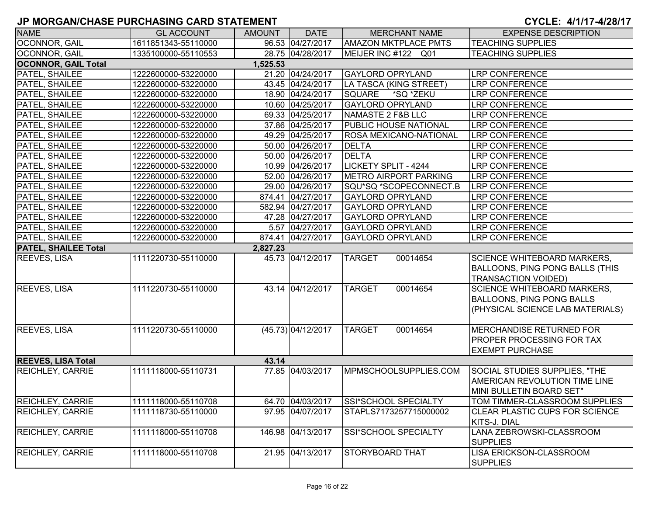| <b>NAME</b>                 | <b>GL ACCOUNT</b>   | <b>AMOUNT</b> | <b>DATE</b>        | <b>MERCHANT NAME</b>          | <b>EXPENSE DESCRIPTION</b>             |
|-----------------------------|---------------------|---------------|--------------------|-------------------------------|----------------------------------------|
| OCONNOR, GAIL               | 1611851343-55110000 |               | 96.53 04/27/2017   | <b>AMAZON MKTPLACE PMTS</b>   | <b>TEACHING SUPPLIES</b>               |
| <b>OCONNOR, GAIL</b>        | 1335100000-55110553 |               | 28.75 04/28/2017   | MEIJER INC #122 Q01           | <b>TEACHING SUPPLIES</b>               |
| <b>OCONNOR, GAIL Total</b>  |                     | 1,525.53      |                    |                               |                                        |
| <b>PATEL, SHAILEE</b>       | 1222600000-53220000 |               | 21.20 04/24/2017   | <b>GAYLORD OPRYLAND</b>       | <b>LRP CONFERENCE</b>                  |
| PATEL, SHAILEE              | 1222600000-53220000 |               | 43.45 04/24/2017   | LA TASCA (KING STREET)        | <b>LRP CONFERENCE</b>                  |
| PATEL, SHAILEE              | 1222600000-53220000 |               | 18.90 04/24/2017   | <b>SQUARE</b><br>*SQ *ZEKU    | <b>LRP CONFERENCE</b>                  |
| PATEL, SHAILEE              | 1222600000-53220000 |               | 10.60 04/25/2017   | <b>GAYLORD OPRYLAND</b>       | <b>LRP CONFERENCE</b>                  |
| PATEL, SHAILEE              | 1222600000-53220000 |               | 69.33 04/25/2017   | NAMASTE 2 F&B LLC             | <b>LRP CONFERENCE</b>                  |
| PATEL, SHAILEE              | 1222600000-53220000 |               | 37.86 04/25/2017   | <b>PUBLIC HOUSE NATIONAL</b>  | <b>LRP CONFERENCE</b>                  |
| PATEL, SHAILEE              | 1222600000-53220000 |               | 49.29 04/25/2017   | <b>ROSA MEXICANO-NATIONAL</b> | <b>LRP CONFERENCE</b>                  |
| PATEL, SHAILEE              | 1222600000-53220000 |               | 50.00 04/26/2017   | <b>DELTA</b>                  | LRP CONFERENCE                         |
| PATEL, SHAILEE              | 1222600000-53220000 |               | 50.00 04/26/2017   | <b>DELTA</b>                  | <b>LRP CONFERENCE</b>                  |
| PATEL, SHAILEE              | 1222600000-53220000 |               | 10.99 04/26/2017   | LICKETY SPLIT - 4244          | <b>LRP CONFERENCE</b>                  |
| PATEL, SHAILEE              | 1222600000-53220000 |               | 52.00 04/26/2017   | <b>METRO AIRPORT PARKING</b>  | <b>LRP CONFERENCE</b>                  |
| PATEL, SHAILEE              | 1222600000-53220000 |               | 29.00 04/26/2017   | SQU*SQ *SCOPECONNECT.B        | <b>LRP CONFERENCE</b>                  |
| PATEL, SHAILEE              | 1222600000-53220000 |               | 874.41 04/27/2017  | <b>GAYLORD OPRYLAND</b>       | <b>LRP CONFERENCE</b>                  |
| PATEL, SHAILEE              | 1222600000-53220000 |               | 582.94 04/27/2017  | <b>GAYLORD OPRYLAND</b>       | <b>LRP CONFERENCE</b>                  |
| PATEL, SHAILEE              | 1222600000-53220000 |               | 47.28 04/27/2017   | <b>GAYLORD OPRYLAND</b>       | <b>LRP CONFERENCE</b>                  |
| PATEL, SHAILEE              | 1222600000-53220000 |               | 5.57 04/27/2017    | <b>GAYLORD OPRYLAND</b>       | <b>LRP CONFERENCE</b>                  |
| PATEL, SHAILEE              | 1222600000-53220000 |               | 874.41 04/27/2017  | <b>GAYLORD OPRYLAND</b>       | <b>LRP CONFERENCE</b>                  |
| <b>PATEL, SHAILEE Total</b> |                     | 2,827.23      |                    |                               |                                        |
| <b>REEVES, LISA</b>         | 1111220730-55110000 |               | 45.73 04/12/2017   | <b>TARGET</b><br>00014654     | <b>SCIENCE WHITEBOARD MARKERS,</b>     |
|                             |                     |               |                    |                               | <b>BALLOONS, PING PONG BALLS (THIS</b> |
|                             |                     |               |                    |                               | TRANSACTION VOIDED)                    |
| <b>REEVES, LISA</b>         | 1111220730-55110000 |               | 43.14 04/12/2017   | 00014654<br><b>TARGET</b>     | <b>SCIENCE WHITEBOARD MARKERS,</b>     |
|                             |                     |               |                    |                               | <b>BALLOONS, PING PONG BALLS</b>       |
|                             |                     |               |                    |                               | (PHYSICAL SCIENCE LAB MATERIALS)       |
|                             |                     |               |                    |                               |                                        |
| <b>REEVES, LISA</b>         | 1111220730-55110000 |               | (45.73) 04/12/2017 | 00014654<br><b>TARGET</b>     | <b>MERCHANDISE RETURNED FOR</b>        |
|                             |                     |               |                    |                               | <b>PROPER PROCESSING FOR TAX</b>       |
|                             |                     |               |                    |                               | <b>EXEMPT PURCHASE</b>                 |
| <b>REEVES, LISA Total</b>   |                     | 43.14         |                    |                               |                                        |
| <b>REICHLEY, CARRIE</b>     | 1111118000-55110731 |               | 77.85 04/03/2017   | MPMSCHOOLSUPPLIES.COM         | SOCIAL STUDIES SUPPLIES, "THE          |
|                             |                     |               |                    |                               | <b>AMERICAN REVOLUTION TIME LINE</b>   |
|                             |                     |               |                    |                               | MINI BULLETIN BOARD SET"               |
| <b>REICHLEY, CARRIE</b>     | 1111118000-55110708 |               | 64.70 04/03/2017   | SSI*SCHOOL SPECIALTY          | TOM TIMMER-CLASSROOM SUPPLIES          |
| <b>REICHLEY, CARRIE</b>     | 1111118730-55110000 |               | 97.95 04/07/2017   | STAPLS7173257715000002        | <b>CLEAR PLASTIC CUPS FOR SCIENCE</b>  |
|                             |                     |               |                    |                               | KITS-J. DIAL                           |
| <b>REICHLEY, CARRIE</b>     | 1111118000-55110708 |               | 146.98 04/13/2017  | SSI*SCHOOL SPECIALTY          | LANA ZEBROWSKI-CLASSROOM               |
|                             |                     |               |                    |                               | <b>SUPPLIES</b>                        |
| <b>REICHLEY, CARRIE</b>     | 1111118000-55110708 |               | 21.95 04/13/2017   | <b>STORYBOARD THAT</b>        | LISA ERICKSON-CLASSROOM                |
|                             |                     |               |                    |                               | <b>SUPPLIES</b>                        |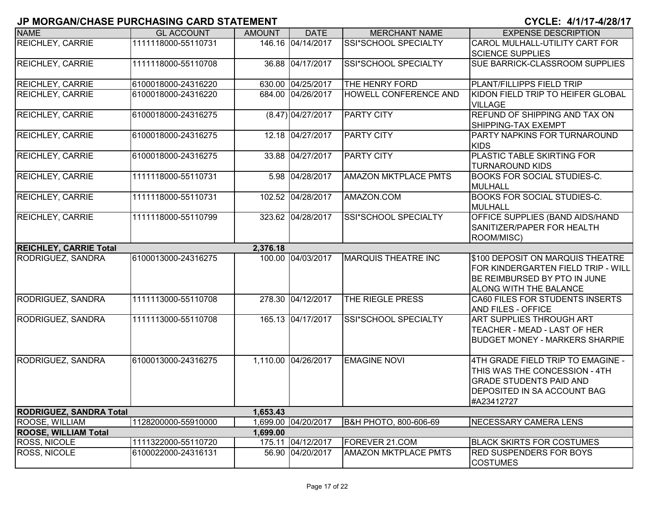| <b>NAME</b>                    | <b>GL ACCOUNT</b>   | <b>AMOUNT</b> | <b>DATE</b>         | <b>MERCHANT NAME</b>        | <b>EXPENSE DESCRIPTION</b>                                                                                                                        |
|--------------------------------|---------------------|---------------|---------------------|-----------------------------|---------------------------------------------------------------------------------------------------------------------------------------------------|
| <b>REICHLEY, CARRIE</b>        | 1111118000-55110731 |               | 146.16 04/14/2017   | SSI*SCHOOL SPECIALTY        | CAROL MULHALL-UTILITY CART FOR<br><b>SCIENCE SUPPLIES</b>                                                                                         |
| <b>REICHLEY, CARRIE</b>        | 1111118000-55110708 |               | 36.88 04/17/2017    | SSI*SCHOOL SPECIALTY        | <b>SUE BARRICK-CLASSROOM SUPPLIES</b>                                                                                                             |
| <b>REICHLEY, CARRIE</b>        | 6100018000-24316220 |               | 630.00 04/25/2017   | THE HENRY FORD              | PLANT/FILLIPPS FIELD TRIP                                                                                                                         |
| <b>REICHLEY, CARRIE</b>        | 6100018000-24316220 |               | 684.00 04/26/2017   | HOWELL CONFERENCE AND       | KIDON FIELD TRIP TO HEIFER GLOBAL<br><b>VILLAGE</b>                                                                                               |
| <b>REICHLEY, CARRIE</b>        | 6100018000-24316275 |               | $(8.47)$ 04/27/2017 | <b>PARTY CITY</b>           | REFUND OF SHIPPING AND TAX ON<br>SHIPPING-TAX EXEMPT                                                                                              |
| <b>REICHLEY, CARRIE</b>        | 6100018000-24316275 |               | 12.18 04/27/2017    | <b>PARTY CITY</b>           | PARTY NAPKINS FOR TURNAROUND<br><b>KIDS</b>                                                                                                       |
| <b>REICHLEY, CARRIE</b>        | 6100018000-24316275 |               | 33.88 04/27/2017    | <b>PARTY CITY</b>           | PLASTIC TABLE SKIRTING FOR<br><b>TURNAROUND KIDS</b>                                                                                              |
| <b>REICHLEY, CARRIE</b>        | 1111118000-55110731 |               | 5.98 04/28/2017     | <b>AMAZON MKTPLACE PMTS</b> | <b>BOOKS FOR SOCIAL STUDIES-C.</b><br><b>MULHALL</b>                                                                                              |
| <b>REICHLEY, CARRIE</b>        | 1111118000-55110731 |               | 102.52 04/28/2017   | AMAZON.COM                  | <b>BOOKS FOR SOCIAL STUDIES-C.</b><br><b>MULHALL</b>                                                                                              |
| <b>REICHLEY, CARRIE</b>        | 1111118000-55110799 |               | 323.62 04/28/2017   | SSI*SCHOOL SPECIALTY        | OFFICE SUPPLIES (BAND AIDS/HAND<br>SANITIZER/PAPER FOR HEALTH<br>ROOM/MISC)                                                                       |
| <b>REICHLEY, CARRIE Total</b>  |                     | 2,376.18      |                     |                             |                                                                                                                                                   |
| <b>RODRIGUEZ, SANDRA</b>       | 6100013000-24316275 |               | 100.00 04/03/2017   | <b>MARQUIS THEATRE INC</b>  | \$100 DEPOSIT ON MARQUIS THEATRE<br>FOR KINDERGARTEN FIELD TRIP - WILL<br>BE REIMBURSED BY PTO IN JUNE<br>ALONG WITH THE BALANCE                  |
| RODRIGUEZ, SANDRA              | 1111113000-55110708 |               | 278.30 04/12/2017   | THE RIEGLE PRESS            | CA60 FILES FOR STUDENTS INSERTS<br><b>AND FILES - OFFICE</b>                                                                                      |
| RODRIGUEZ, SANDRA              | 1111113000-55110708 |               | 165.13 04/17/2017   | <b>SSI*SCHOOL SPECIALTY</b> | <b>ART SUPPLIES THROUGH ART</b><br>TEACHER - MEAD - LAST OF HER<br><b>BUDGET MONEY - MARKERS SHARPIE</b>                                          |
| RODRIGUEZ, SANDRA              | 6100013000-24316275 |               | 1,110.00 04/26/2017 | <b>EMAGINE NOVI</b>         | 4TH GRADE FIELD TRIP TO EMAGINE -<br>THIS WAS THE CONCESSION - 4TH<br><b>GRADE STUDENTS PAID AND</b><br>DEPOSITED IN SA ACCOUNT BAG<br>#A23412727 |
| <b>RODRIGUEZ, SANDRA Total</b> |                     | 1,653.43      |                     |                             |                                                                                                                                                   |
| ROOSE, WILLIAM                 | 1128200000-55910000 |               | 1,699.00 04/20/2017 | B&H PHOTO, 800-606-69       | NECESSARY CAMERA LENS                                                                                                                             |
| <b>ROOSE, WILLIAM Total</b>    |                     | 1,699.00      |                     |                             |                                                                                                                                                   |
| <b>ROSS, NICOLE</b>            | 1111322000-55110720 |               | 175.11 04/12/2017   | FOREVER 21.COM              | <b>BLACK SKIRTS FOR COSTUMES</b>                                                                                                                  |
| <b>ROSS, NICOLE</b>            | 6100022000-24316131 |               | 56.90 04/20/2017    | <b>AMAZON MKTPLACE PMTS</b> | <b>RED SUSPENDERS FOR BOYS</b><br><b>COSTUMES</b>                                                                                                 |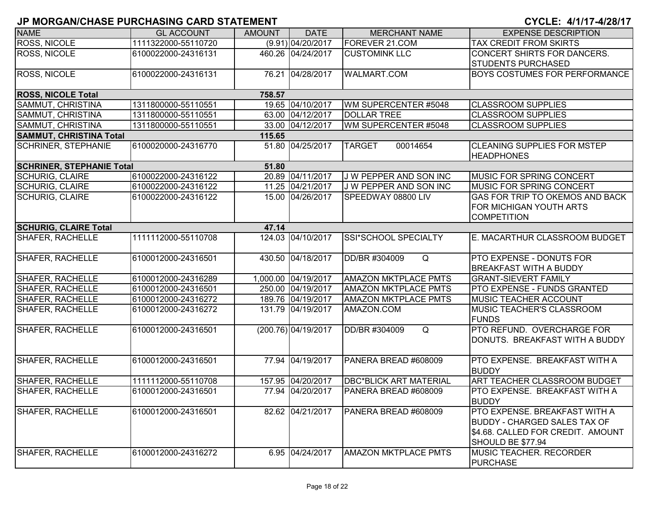| <b>NAME</b>                           | <b>GL ACCOUNT</b>   | <b>AMOUNT</b> | <b>DATE</b>         | <b>MERCHANT NAME</b>          | <b>EXPENSE DESCRIPTION</b>                                                                                                            |  |  |
|---------------------------------------|---------------------|---------------|---------------------|-------------------------------|---------------------------------------------------------------------------------------------------------------------------------------|--|--|
| <b>ROSS, NICOLE</b>                   | 1111322000-55110720 |               | (9.91) 04/20/2017   | FOREVER 21.COM                | TAX CREDIT FROM SKIRTS                                                                                                                |  |  |
| <b>ROSS, NICOLE</b>                   | 6100022000-24316131 |               | 460.26 04/24/2017   | <b>CUSTOMINK LLC</b>          | <b>CONCERT SHIRTS FOR DANCERS.</b><br><b>STUDENTS PURCHASED</b>                                                                       |  |  |
| <b>ROSS, NICOLE</b>                   | 6100022000-24316131 |               | 76.21 04/28/2017    | <b>WALMART.COM</b>            | <b>BOYS COSTUMES FOR PERFORMANCE</b>                                                                                                  |  |  |
| <b>ROSS, NICOLE Total</b>             |                     | 758.57        |                     |                               |                                                                                                                                       |  |  |
| SAMMUT, CHRISTINA                     | 1311800000-55110551 |               | 19.65 04/10/2017    | WM SUPERCENTER #5048          | <b>CLASSROOM SUPPLIES</b>                                                                                                             |  |  |
| SAMMUT, CHRISTINA                     | 1311800000-55110551 |               | 63.00 04/12/2017    | <b>DOLLAR TREE</b>            | <b>CLASSROOM SUPPLIES</b>                                                                                                             |  |  |
| SAMMUT, CHRISTINA                     | 1311800000-55110551 |               | 33.00 04/12/2017    | WM SUPERCENTER #5048          | <b>CLASSROOM SUPPLIES</b>                                                                                                             |  |  |
| <b>SAMMUT, CHRISTINA Total</b>        |                     | 115.65        |                     |                               |                                                                                                                                       |  |  |
| <b>SCHRINER, STEPHANIE</b>            | 6100020000-24316770 |               | 51.80 04/25/2017    | <b>TARGET</b><br>00014654     | <b>CLEANING SUPPLIES FOR MSTEP</b><br><b>HEADPHONES</b>                                                                               |  |  |
| <b>SCHRINER, STEPHANIE Total</b>      |                     | 51.80         |                     |                               |                                                                                                                                       |  |  |
| <b>SCHURIG, CLAIRE</b>                | 6100022000-24316122 |               | 20.89 04/11/2017    | J W PEPPER AND SON INC        | <b>IMUSIC FOR SPRING CONCERT</b>                                                                                                      |  |  |
| <b>SCHURIG, CLAIRE</b>                | 6100022000-24316122 |               | 11.25 04/21/2017    | J W PEPPER AND SON INC        | <b>IMUSIC FOR SPRING CONCERT</b>                                                                                                      |  |  |
| <b>SCHURIG, CLAIRE</b>                | 6100022000-24316122 |               | 15.00 04/26/2017    | SPEEDWAY 08800 LIV            | <b>GAS FOR TRIP TO OKEMOS AND BACK</b><br><b>FOR MICHIGAN YOUTH ARTS</b><br><b>COMPETITION</b>                                        |  |  |
| <b>SCHURIG, CLAIRE Total</b><br>47.14 |                     |               |                     |                               |                                                                                                                                       |  |  |
| <b>SHAFER, RACHELLE</b>               | 1111112000-55110708 |               | 124.03 04/10/2017   | SSI*SCHOOL SPECIALTY          | E. MACARTHUR CLASSROOM BUDGET                                                                                                         |  |  |
| <b>SHAFER, RACHELLE</b>               | 6100012000-24316501 |               | 430.50 04/18/2017   | DD/BR #304009<br>Q            | <b>PTO EXPENSE - DONUTS FOR</b><br><b>BREAKFAST WITH A BUDDY</b>                                                                      |  |  |
| <b>SHAFER, RACHELLE</b>               | 6100012000-24316289 |               | 1,000.00 04/19/2017 | <b>AMAZON MKTPLACE PMTS</b>   | <b>GRANT-SIEVERT FAMILY</b>                                                                                                           |  |  |
| <b>SHAFER, RACHELLE</b>               | 6100012000-24316501 |               | 250.00 04/19/2017   | <b>AMAZON MKTPLACE PMTS</b>   | <b>PTO EXPENSE - FUNDS GRANTED</b>                                                                                                    |  |  |
| <b>SHAFER, RACHELLE</b>               | 6100012000-24316272 |               | 189.76 04/19/2017   | <b>AMAZON MKTPLACE PMTS</b>   | MUSIC TEACHER ACCOUNT                                                                                                                 |  |  |
| <b>SHAFER, RACHELLE</b>               | 6100012000-24316272 |               | 131.79 04/19/2017   | AMAZON.COM                    | <b>MUSIC TEACHER'S CLASSROOM</b><br><b>FUNDS</b>                                                                                      |  |  |
| <b>SHAFER, RACHELLE</b>               | 6100012000-24316501 |               | (200.76) 04/19/2017 | Q<br>DD/BR #304009            | PTO REFUND. OVERCHARGE FOR<br>DONUTS. BREAKFAST WITH A BUDDY                                                                          |  |  |
| SHAFER, RACHELLE                      | 6100012000-24316501 |               | 77.94 04/19/2017    | PANERA BREAD #608009          | PTO EXPENSE. BREAKFAST WITH A<br><b>BUDDY</b>                                                                                         |  |  |
| SHAFER, RACHELLE                      | 1111112000-55110708 |               | 157.95 04/20/2017   | <b>DBC*BLICK ART MATERIAL</b> | <b>ART TEACHER CLASSROOM BUDGET</b>                                                                                                   |  |  |
| <b>SHAFER, RACHELLE</b>               | 6100012000-24316501 |               | 77.94 04/20/2017    | PANERA BREAD #608009          | PTO EXPENSE. BREAKFAST WITH A<br><b>BUDDY</b>                                                                                         |  |  |
| <b>SHAFER, RACHELLE</b>               | 6100012000-24316501 |               | 82.62 04/21/2017    | PANERA BREAD #608009          | <b>PTO EXPENSE. BREAKFAST WITH A</b><br><b>BUDDY - CHARGED SALES TAX OF</b><br>\$4.68. CALLED FOR CREDIT. AMOUNT<br>SHOULD BE \$77.94 |  |  |
| <b>SHAFER, RACHELLE</b>               | 6100012000-24316272 |               | 6.95 04/24/2017     | <b>AMAZON MKTPLACE PMTS</b>   | <b>MUSIC TEACHER. RECORDER</b><br><b>PURCHASE</b>                                                                                     |  |  |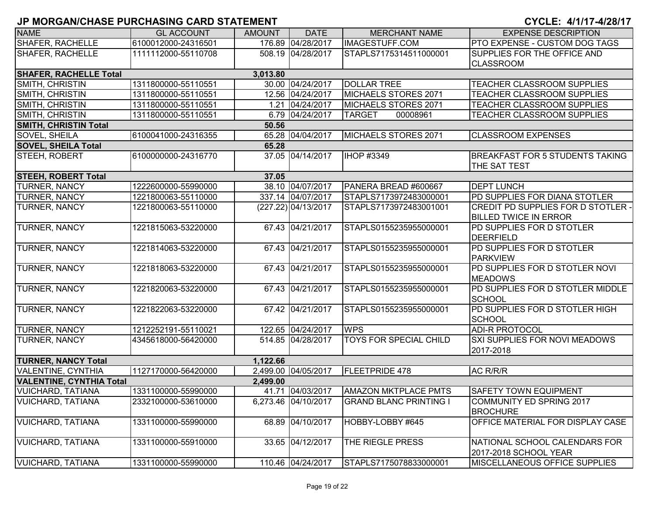| <b>NAME</b>                     | <b>GL ACCOUNT</b>   | <b>AMOUNT</b> | <b>DATE</b>         | <b>MERCHANT NAME</b>          | <b>EXPENSE DESCRIPTION</b>                |
|---------------------------------|---------------------|---------------|---------------------|-------------------------------|-------------------------------------------|
| <b>SHAFER, RACHELLE</b>         | 6100012000-24316501 |               | 176.89 04/28/2017   | <b>IMAGESTUFF.COM</b>         | <b>PTO EXPENSE - CUSTOM DOG TAGS</b>      |
| <b>SHAFER, RACHELLE</b>         | 1111112000-55110708 |               | 508.19 04/28/2017   | STAPLS7175314511000001        | SUPPLIES FOR THE OFFICE AND               |
|                                 |                     |               |                     |                               | <b>CLASSROOM</b>                          |
| <b>SHAFER, RACHELLE Total</b>   |                     | 3,013.80      |                     |                               |                                           |
| SMITH, CHRISTIN                 | 1311800000-55110551 |               | 30.00 04/24/2017    | <b>DOLLAR TREE</b>            | <b>TEACHER CLASSROOM SUPPLIES</b>         |
| SMITH, CHRISTIN                 | 1311800000-55110551 |               | 12.56 04/24/2017    | MICHAELS STORES 2071          | <b>TEACHER CLASSROOM SUPPLIES</b>         |
| SMITH, CHRISTIN                 | 1311800000-55110551 |               | 1.21 04/24/2017     | MICHAELS STORES 2071          | TEACHER CLASSROOM SUPPLIES                |
| SMITH, CHRISTIN                 | 1311800000-55110551 |               | 6.79 04/24/2017     | 00008961<br><b>TARGET</b>     | TEACHER CLASSROOM SUPPLIES                |
| <b>SMITH, CHRISTIN Total</b>    |                     | 50.56         |                     |                               |                                           |
| SOVEL, SHEILA                   | 6100041000-24316355 |               | 65.28 04/04/2017    | MICHAELS STORES 2071          | <b>CLASSROOM EXPENSES</b>                 |
| <b>SOVEL, SHEILA Total</b>      |                     | 65.28         |                     |                               |                                           |
| STEEH, ROBERT                   | 6100000000-24316770 |               | 37.05 04/14/2017    | <b>IHOP #3349</b>             | <b>BREAKFAST FOR 5 STUDENTS TAKING</b>    |
|                                 |                     |               |                     |                               | <b>THE SAT TEST</b>                       |
| <b>STEEH, ROBERT Total</b>      |                     | 37.05         |                     |                               |                                           |
| TURNER, NANCY                   | 1222600000-55990000 |               | 38.10 04/07/2017    | PANERA BREAD #600667          | <b>DEPT LUNCH</b>                         |
| TURNER, NANCY                   | 1221800063-55110000 |               | 337.14 04/07/2017   | STAPLS7173972483000001        | PD SUPPLIES FOR DIANA STOTLER             |
| <b>TURNER, NANCY</b>            | 1221800063-55110000 |               | (227.22) 04/13/2017 | STAPLS7173972483001001        | <b>CREDIT PD SUPPLIES FOR D STOTLER -</b> |
|                                 |                     |               |                     |                               | <b>BILLED TWICE IN ERROR</b>              |
| TURNER, NANCY                   | 1221815063-53220000 |               | 67.43 04/21/2017    | STAPLS0155235955000001        | <b>PD SUPPLIES FOR D STOTLER</b>          |
|                                 |                     |               |                     |                               | <b>DEERFIELD</b>                          |
| TURNER, NANCY                   | 1221814063-53220000 |               | 67.43 04/21/2017    | STAPLS0155235955000001        | <b>PD SUPPLIES FOR D STOTLER</b>          |
|                                 |                     |               |                     |                               | PARKVIEW                                  |
| TURNER, NANCY                   | 1221818063-53220000 |               | 67.43 04/21/2017    | STAPLS0155235955000001        | PD SUPPLIES FOR D STOTLER NOVI            |
|                                 |                     |               |                     |                               | <b>MEADOWS</b>                            |
| TURNER, NANCY                   | 1221820063-53220000 |               | 67.43 04/21/2017    | STAPLS0155235955000001        | PD SUPPLIES FOR D STOTLER MIDDLE          |
|                                 |                     |               |                     |                               | <b>SCHOOL</b>                             |
| TURNER, NANCY                   | 1221822063-53220000 |               | 67.42 04/21/2017    | STAPLS0155235955000001        | PD SUPPLIES FOR D STOTLER HIGH            |
|                                 |                     |               |                     |                               | <b>SCHOOL</b>                             |
| TURNER, NANCY                   | 1212252191-55110021 |               | 122.65 04/24/2017   | <b>WPS</b>                    | <b>ADI-R PROTOCOL</b>                     |
| TURNER, NANCY                   | 4345618000-56420000 |               | 514.85 04/28/2017   | <b>TOYS FOR SPECIAL CHILD</b> | <b>SXI SUPPLIES FOR NOVI MEADOWS</b>      |
|                                 |                     |               |                     |                               | 2017-2018                                 |
| <b>TURNER, NANCY Total</b>      |                     | 1,122.66      |                     |                               |                                           |
| VALENTINE, CYNTHIA              | 1127170000-56420000 |               | 2,499.00 04/05/2017 | <b>FLEETPRIDE 478</b>         | AC R/R/R                                  |
| <b>VALENTINE, CYNTHIA Total</b> |                     | 2,499.00      |                     |                               |                                           |
| <b>VUICHARD, TATIANA</b>        | 1331100000-55990000 |               | 41.71 04/03/2017    | <b>AMAZON MKTPLACE PMTS</b>   | <b>SAFETY TOWN EQUIPMENT</b>              |
| <b>VUICHARD, TATIANA</b>        | 2332100000-53610000 |               | 6,273.46 04/10/2017 | <b>GRAND BLANC PRINTING I</b> | COMMUNITY ED SPRING 2017                  |
|                                 |                     |               |                     |                               | <b>BROCHURE</b>                           |
| <b>VUICHARD, TATIANA</b>        | 1331100000-55990000 |               | 68.89 04/10/2017    | HOBBY-LOBBY #645              | OFFICE MATERIAL FOR DISPLAY CASE          |
|                                 |                     |               |                     |                               |                                           |
| <b>VUICHARD, TATIANA</b>        | 1331100000-55910000 |               | 33.65 04/12/2017    | THE RIEGLE PRESS              | NATIONAL SCHOOL CALENDARS FOR             |
|                                 |                     |               |                     |                               | 2017-2018 SCHOOL YEAR                     |
| <b>VUICHARD, TATIANA</b>        | 1331100000-55990000 |               | 110.46 04/24/2017   | STAPLS7175078833000001        | MISCELLANEOUS OFFICE SUPPLIES             |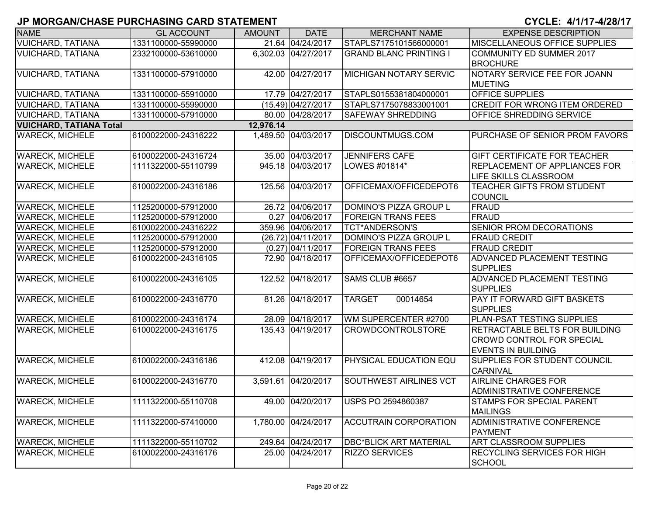| <b>NAME</b>                    | <b>GL ACCOUNT</b>   | <b>AMOUNT</b> | <b>DATE</b>         | <b>MERCHANT NAME</b>          | <b>EXPENSE DESCRIPTION</b>                                                                             |
|--------------------------------|---------------------|---------------|---------------------|-------------------------------|--------------------------------------------------------------------------------------------------------|
| <b>VUICHARD, TATIANA</b>       | 1331100000-55990000 |               | 21.64 04/24/2017    | STAPLS7175101566000001        | <b>MISCELLANEOUS OFFICE SUPPLIES</b>                                                                   |
| <b>VUICHARD, TATIANA</b>       | 2332100000-53610000 |               | 6,302.03 04/27/2017 | <b>GRAND BLANC PRINTING I</b> | COMMUNITY ED SUMMER 2017<br><b>BROCHURE</b>                                                            |
| <b>VUICHARD, TATIANA</b>       | 1331100000-57910000 |               | 42.00 04/27/2017    | <b>MICHIGAN NOTARY SERVIC</b> | NOTARY SERVICE FEE FOR JOANN<br><b>MUETING</b>                                                         |
| <b>VUICHARD, TATIANA</b>       | 1331100000-55910000 |               | 17.79 04/27/2017    | STAPLS0155381804000001        | <b>OFFICE SUPPLIES</b>                                                                                 |
| <b>VUICHARD, TATIANA</b>       | 1331100000-55990000 |               | (15.49) 04/27/2017  | STAPLS7175078833001001        | <b>CREDIT FOR WRONG ITEM ORDERED</b>                                                                   |
| <b>VUICHARD, TATIANA</b>       | 1331100000-57910000 |               | 80.00 04/28/2017    | <b>SAFEWAY SHREDDING</b>      | OFFICE SHREDDING SERVICE                                                                               |
| <b>VUICHARD, TATIANA Total</b> |                     | 12,976.14     |                     |                               |                                                                                                        |
| <b>WARECK, MICHELE</b>         | 6100022000-24316222 |               | 1,489.50 04/03/2017 | <b>DISCOUNTMUGS.COM</b>       | <b>PURCHASE OF SENIOR PROM FAVORS</b>                                                                  |
| <b>WARECK, MICHELE</b>         | 6100022000-24316724 |               | 35.00 04/03/2017    | <b>JENNIFERS CAFE</b>         | <b>GIFT CERTIFICATE FOR TEACHER</b>                                                                    |
| <b>WARECK, MICHELE</b>         | 1111322000-55110799 |               | 945.18 04/03/2017   | LOWES #01814*                 | <b>REPLACEMENT OF APPLIANCES FOR</b><br><b>LIFE SKILLS CLASSROOM</b>                                   |
| <b>WARECK, MICHELE</b>         | 6100022000-24316186 |               | 125.56 04/03/2017   | OFFICEMAX/OFFICEDEPOT6        | TEACHER GIFTS FROM STUDENT<br><b>COUNCIL</b>                                                           |
| <b>WARECK, MICHELE</b>         | 1125200000-57912000 |               | 26.72 04/06/2017    | DOMINO'S PIZZA GROUP L        | FRAUD                                                                                                  |
| <b>WARECK, MICHELE</b>         | 1125200000-57912000 |               | 0.27 04/06/2017     | <b>FOREIGN TRANS FEES</b>     | FRAUD                                                                                                  |
| <b>WARECK, MICHELE</b>         | 6100022000-24316222 |               | 359.96 04/06/2017   | <b>TCT*ANDERSON'S</b>         | <b>SENIOR PROM DECORATIONS</b>                                                                         |
| <b>WARECK, MICHELE</b>         | 1125200000-57912000 |               | (26.72) 04/11/2017  | DOMINO'S PIZZA GROUP L        | <b>FRAUD CREDIT</b>                                                                                    |
| <b>WARECK, MICHELE</b>         | 1125200000-57912000 |               | $(0.27)$ 04/11/2017 | <b>FOREIGN TRANS FEES</b>     | <b>FRAUD CREDIT</b>                                                                                    |
| <b>WARECK, MICHELE</b>         | 6100022000-24316105 |               | 72.90 04/18/2017    | OFFICEMAX/OFFICEDEPOT6        | <b>ADVANCED PLACEMENT TESTING</b><br><b>SUPPLIES</b>                                                   |
| <b>WARECK, MICHELE</b>         | 6100022000-24316105 |               | 122.52 04/18/2017   | SAMS CLUB #6657               | <b>ADVANCED PLACEMENT TESTING</b><br><b>SUPPLIES</b>                                                   |
| <b>WARECK, MICHELE</b>         | 6100022000-24316770 |               | 81.26 04/18/2017    | <b>TARGET</b><br>00014654     | <b>PAY IT FORWARD GIFT BASKETS</b><br><b>SUPPLIES</b>                                                  |
| <b>WARECK, MICHELE</b>         | 6100022000-24316174 |               | 28.09 04/18/2017    | WM SUPERCENTER #2700          | PLAN-PSAT TESTING SUPPLIES                                                                             |
| <b>WARECK, MICHELE</b>         | 6100022000-24316175 |               | 135.43 04/19/2017   | <b>CROWDCONTROLSTORE</b>      | <b>RETRACTABLE BELTS FOR BUILDING</b><br><b>CROWD CONTROL FOR SPECIAL</b><br><b>EVENTS IN BUILDING</b> |
| <b>WARECK, MICHELE</b>         | 6100022000-24316186 |               | 412.08 04/19/2017   | <b>PHYSICAL EDUCATION EQU</b> | <b>SUPPLIES FOR STUDENT COUNCIL</b><br><b>CARNIVAL</b>                                                 |
| <b>WARECK, MICHELE</b>         | 6100022000-24316770 |               | 3,591.61 04/20/2017 | <b>SOUTHWEST AIRLINES VCT</b> | <b>AIRLINE CHARGES FOR</b><br><b>ADMINISTRATIVE CONFERENCE</b>                                         |
| <b>WARECK, MICHELE</b>         | 1111322000-55110708 |               | 49.00 04/20/2017    | USPS PO 2594860387            | <b>STAMPS FOR SPECIAL PARENT</b><br><b>MAILINGS</b>                                                    |
| <b>WARECK, MICHELE</b>         | 1111322000-57410000 |               | 1,780.00 04/24/2017 | <b>ACCUTRAIN CORPORATION</b>  | ADMINISTRATIVE CONFERENCE<br><b>PAYMENT</b>                                                            |
| <b>WARECK, MICHELE</b>         | 1111322000-55110702 |               | 249.64 04/24/2017   | <b>DBC*BLICK ART MATERIAL</b> | <b>ART CLASSROOM SUPPLIES</b>                                                                          |
| <b>WARECK, MICHELE</b>         | 6100022000-24316176 |               | 25.00 04/24/2017    | <b>RIZZO SERVICES</b>         | RECYCLING SERVICES FOR HIGH<br><b>SCHOOL</b>                                                           |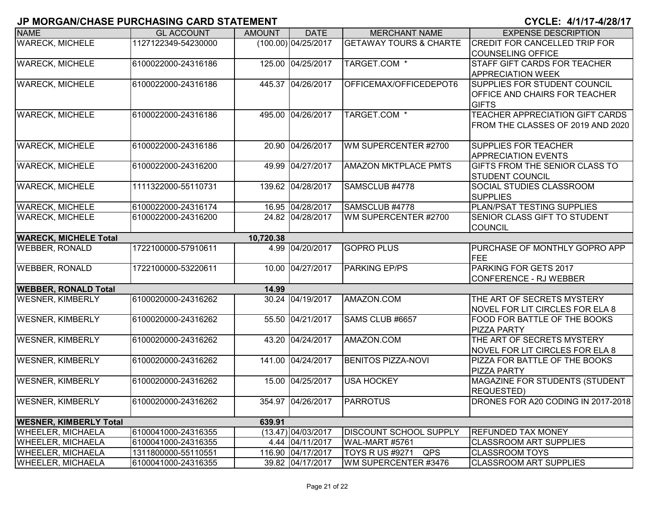| <b>NAME</b>                   | <b>GL ACCOUNT</b>   | <b>AMOUNT</b> | <b>DATE</b>          | <b>MERCHANT NAME</b>              | <b>EXPENSE DESCRIPTION</b>                                      |
|-------------------------------|---------------------|---------------|----------------------|-----------------------------------|-----------------------------------------------------------------|
| <b>WARECK, MICHELE</b>        | 1127122349-54230000 |               | (100.00) 04/25/2017  | <b>GETAWAY TOURS &amp; CHARTE</b> | <b>CREDIT FOR CANCELLED TRIP FOR</b>                            |
|                               |                     |               |                      |                                   | <b>COUNSELING OFFICE</b>                                        |
| <b>WARECK, MICHELE</b>        | 6100022000-24316186 |               | 125.00 04/25/2017    | TARGET.COM *                      | <b>STAFF GIFT CARDS FOR TEACHER</b>                             |
|                               |                     |               |                      |                                   | <b>APPRECIATION WEEK</b>                                        |
| <b>WARECK, MICHELE</b>        | 6100022000-24316186 |               | 445.37 04/26/2017    | OFFICEMAX/OFFICEDEPOT6            | <b>SUPPLIES FOR STUDENT COUNCIL</b>                             |
|                               |                     |               |                      |                                   | <b>OFFICE AND CHAIRS FOR TEACHER</b>                            |
|                               |                     |               |                      |                                   | <b>GIFTS</b>                                                    |
| <b>WARECK, MICHELE</b>        | 6100022000-24316186 |               | 495.00 04/26/2017    | TARGET.COM *                      | TEACHER APPRECIATION GIFT CARDS                                 |
|                               |                     |               |                      |                                   | FROM THE CLASSES OF 2019 AND 2020                               |
|                               |                     |               |                      |                                   |                                                                 |
| <b>WARECK, MICHELE</b>        | 6100022000-24316186 | 20.90         | 04/26/2017           | WM SUPERCENTER #2700              | <b>SUPPLIES FOR TEACHER</b>                                     |
|                               |                     |               |                      |                                   | <b>APPRECIATION EVENTS</b>                                      |
| <b>WARECK, MICHELE</b>        | 6100022000-24316200 |               | 49.99 04/27/2017     | <b>AMAZON MKTPLACE PMTS</b>       | <b>GIFTS FROM THE SENIOR CLASS TO</b><br><b>STUDENT COUNCIL</b> |
| <b>WARECK, MICHELE</b>        | 1111322000-55110731 |               | 139.62 04/28/2017    | SAMSCLUB #4778                    | <b>SOCIAL STUDIES CLASSROOM</b>                                 |
|                               |                     |               |                      |                                   | <b>SUPPLIES</b>                                                 |
| <b>WARECK, MICHELE</b>        | 6100022000-24316174 |               | 16.95 04/28/2017     | SAMSCLUB #4778                    | PLAN/PSAT TESTING SUPPLIES                                      |
| <b>WARECK, MICHELE</b>        | 6100022000-24316200 |               | 24.82 04/28/2017     | WM SUPERCENTER #2700              | SENIOR CLASS GIFT TO STUDENT                                    |
|                               |                     |               |                      |                                   | <b>COUNCIL</b>                                                  |
| <b>WARECK, MICHELE Total</b>  |                     | 10,720.38     |                      |                                   |                                                                 |
| <b>WEBBER, RONALD</b>         | 1722100000-57910611 |               | 4.99 04/20/2017      | <b>GOPRO PLUS</b>                 | PURCHASE OF MONTHLY GOPRO APP                                   |
|                               |                     |               |                      |                                   | FEE                                                             |
| <b>WEBBER, RONALD</b>         | 1722100000-53220611 |               | 10.00 04/27/2017     | <b>PARKING EP/PS</b>              | PARKING FOR GETS 2017                                           |
|                               |                     |               |                      |                                   | CONFERENCE - RJ WEBBER                                          |
| <b>WEBBER, RONALD Total</b>   |                     | 14.99         |                      |                                   |                                                                 |
| <b>WESNER, KIMBERLY</b>       | 6100020000-24316262 |               | 30.24 04/19/2017     | AMAZON.COM                        | THE ART OF SECRETS MYSTERY                                      |
|                               |                     |               |                      |                                   | <b>NOVEL FOR LIT CIRCLES FOR ELA 8</b>                          |
| <b>WESNER, KIMBERLY</b>       | 6100020000-24316262 |               | 55.50 04/21/2017     | SAMS CLUB #6657                   | FOOD FOR BATTLE OF THE BOOKS                                    |
|                               |                     |               |                      |                                   | <b>PIZZA PARTY</b>                                              |
| <b>WESNER, KIMBERLY</b>       | 6100020000-24316262 |               | 43.20 04/24/2017     | AMAZON.COM                        | THE ART OF SECRETS MYSTERY                                      |
|                               |                     |               |                      |                                   | NOVEL FOR LIT CIRCLES FOR ELA 8                                 |
| <b>WESNER, KIMBERLY</b>       | 6100020000-24316262 |               | 141.00 04/24/2017    | <b>BENITOS PIZZA-NOVI</b>         | PIZZA FOR BATTLE OF THE BOOKS                                   |
| <b>WESNER, KIMBERLY</b>       | 6100020000-24316262 |               | 15.00 04/25/2017     | <b>USA HOCKEY</b>                 | <b>PIZZA PARTY</b><br>MAGAZINE FOR STUDENTS (STUDENT            |
|                               |                     |               |                      |                                   | <b>REQUESTED)</b>                                               |
| <b>WESNER, KIMBERLY</b>       | 6100020000-24316262 |               | 354.97 04/26/2017    | <b>PARROTUS</b>                   | DRONES FOR A20 CODING IN 2017-2018                              |
|                               |                     |               |                      |                                   |                                                                 |
| <b>WESNER, KIMBERLY Total</b> |                     | 639.91        |                      |                                   |                                                                 |
| <b>WHEELER, MICHAELA</b>      | 6100041000-24316355 |               | $(13.47)$ 04/03/2017 | <b>DISCOUNT SCHOOL SUPPLY</b>     | <b>REFUNDED TAX MONEY</b>                                       |
| <b>WHEELER, MICHAELA</b>      | 6100041000-24316355 |               | 4.44 04/11/2017      | WAL-MART #5761                    | <b>CLASSROOM ART SUPPLIES</b>                                   |
| <b>WHEELER, MICHAELA</b>      | 1311800000-55110551 |               | 116.90 04/17/2017    | <b>TOYS R US #9271</b><br>QPS     | <b>CLASSROOM TOYS</b>                                           |
| <b>WHEELER, MICHAELA</b>      | 6100041000-24316355 |               | 39.82 04/17/2017     | WM SUPERCENTER #3476              | <b>CLASSROOM ART SUPPLIES</b>                                   |